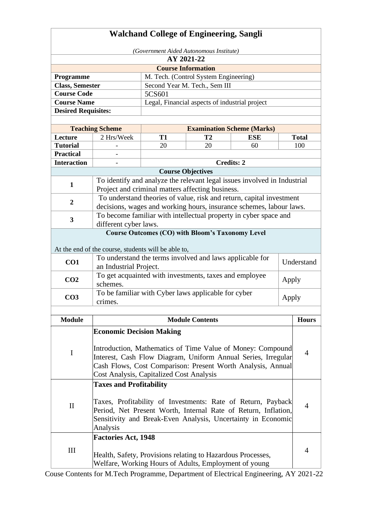|                                                                              | <b>Walchand College of Engineering, Sangli</b>                                                                  |        |                                                        |                                                                          |              |                |  |  |
|------------------------------------------------------------------------------|-----------------------------------------------------------------------------------------------------------------|--------|--------------------------------------------------------|--------------------------------------------------------------------------|--------------|----------------|--|--|
|                                                                              | (Government Aided Autonomous Institute)                                                                         |        |                                                        |                                                                          |              |                |  |  |
| AY 2021-22                                                                   |                                                                                                                 |        |                                                        |                                                                          |              |                |  |  |
| <b>Course Information</b>                                                    |                                                                                                                 |        |                                                        |                                                                          |              |                |  |  |
| Programme                                                                    | M. Tech. (Control System Engineering)                                                                           |        |                                                        |                                                                          |              |                |  |  |
| <b>Class, Semester</b>                                                       |                                                                                                                 |        | Second Year M. Tech., Sem III                          |                                                                          |              |                |  |  |
| <b>Course Code</b>                                                           |                                                                                                                 | 5CS601 |                                                        |                                                                          |              |                |  |  |
| <b>Course Name</b>                                                           |                                                                                                                 |        | Legal, Financial aspects of industrial project         |                                                                          |              |                |  |  |
|                                                                              | <b>Desired Requisites:</b>                                                                                      |        |                                                        |                                                                          |              |                |  |  |
|                                                                              |                                                                                                                 |        |                                                        |                                                                          |              |                |  |  |
|                                                                              | <b>Teaching Scheme</b>                                                                                          |        | <b>Examination Scheme (Marks)</b>                      |                                                                          |              |                |  |  |
| Lecture                                                                      | 2 Hrs/Week<br><b>T1</b><br>T <sub>2</sub><br><b>ESE</b>                                                         |        |                                                        |                                                                          | <b>Total</b> |                |  |  |
| <b>Tutorial</b><br><b>Practical</b>                                          |                                                                                                                 | 20     | 20                                                     | 60                                                                       |              | 100            |  |  |
|                                                                              |                                                                                                                 |        | <b>Credits: 2</b>                                      |                                                                          |              |                |  |  |
| <b>Interaction</b>                                                           |                                                                                                                 |        |                                                        |                                                                          |              |                |  |  |
|                                                                              |                                                                                                                 |        | <b>Course Objectives</b>                               |                                                                          |              |                |  |  |
| $\mathbf{1}$                                                                 |                                                                                                                 |        | Project and criminal matters affecting business.       | To identify and analyze the relevant legal issues involved in Industrial |              |                |  |  |
|                                                                              |                                                                                                                 |        |                                                        | To understand theories of value, risk and return, capital investment     |              |                |  |  |
| $\overline{2}$                                                               |                                                                                                                 |        |                                                        | decisions, wages and working hours, insurance schemes, labour laws.      |              |                |  |  |
|                                                                              |                                                                                                                 |        |                                                        |                                                                          |              |                |  |  |
| 3                                                                            |                                                                                                                 |        |                                                        | To become familiar with intellectual property in cyber space and         |              |                |  |  |
| different cyber laws.                                                        |                                                                                                                 |        |                                                        |                                                                          |              |                |  |  |
| <b>Course Outcomes (CO) with Bloom's Taxonomy Level</b>                      |                                                                                                                 |        |                                                        |                                                                          |              |                |  |  |
|                                                                              |                                                                                                                 |        |                                                        |                                                                          |              |                |  |  |
|                                                                              | At the end of the course, students will be able to,<br>To understand the terms involved and laws applicable for |        |                                                        |                                                                          |              |                |  |  |
| CO1                                                                          | an Industrial Project.                                                                                          |        |                                                        |                                                                          |              | Understand     |  |  |
|                                                                              |                                                                                                                 |        | To get acquainted with investments, taxes and employee |                                                                          |              |                |  |  |
| CO <sub>2</sub>                                                              | schemes.                                                                                                        |        |                                                        |                                                                          | Apply        |                |  |  |
|                                                                              |                                                                                                                 |        | To be familiar with Cyber laws applicable for cyber    |                                                                          |              |                |  |  |
| CO <sub>3</sub>                                                              | crimes.                                                                                                         |        |                                                        |                                                                          | Apply        |                |  |  |
|                                                                              |                                                                                                                 |        |                                                        |                                                                          |              |                |  |  |
| <b>Module</b>                                                                |                                                                                                                 |        | <b>Module Contents</b>                                 |                                                                          |              | <b>Hours</b>   |  |  |
|                                                                              | <b>Economic Decision Making</b>                                                                                 |        |                                                        |                                                                          |              |                |  |  |
|                                                                              |                                                                                                                 |        |                                                        |                                                                          |              |                |  |  |
|                                                                              | Introduction, Mathematics of Time Value of Money: Compound                                                      |        |                                                        |                                                                          |              |                |  |  |
| I                                                                            | Interest, Cash Flow Diagram, Uniform Annual Series, Irregular                                                   |        |                                                        |                                                                          |              | $\overline{4}$ |  |  |
|                                                                              | Cash Flows, Cost Comparison: Present Worth Analysis, Annual                                                     |        |                                                        |                                                                          |              |                |  |  |
|                                                                              | Cost Analysis, Capitalized Cost Analysis                                                                        |        |                                                        |                                                                          |              |                |  |  |
|                                                                              | <b>Taxes and Profitability</b>                                                                                  |        |                                                        |                                                                          |              |                |  |  |
|                                                                              |                                                                                                                 |        |                                                        |                                                                          |              |                |  |  |
|                                                                              |                                                                                                                 |        |                                                        |                                                                          |              |                |  |  |
| Taxes, Profitability of Investments: Rate of Return, Payback<br>$\mathbf{I}$ |                                                                                                                 |        |                                                        |                                                                          |              |                |  |  |
| Period, Net Present Worth, Internal Rate of Return, Inflation,               |                                                                                                                 |        |                                                        |                                                                          |              |                |  |  |
| Sensitivity and Break-Even Analysis, Uncertainty in Economic<br>Analysis     |                                                                                                                 |        |                                                        |                                                                          |              |                |  |  |
|                                                                              |                                                                                                                 |        |                                                        |                                                                          |              |                |  |  |
|                                                                              | <b>Factories Act, 1948</b>                                                                                      |        |                                                        |                                                                          |              |                |  |  |
| III                                                                          | Health, Safety, Provisions relating to Hazardous Processes,                                                     |        |                                                        |                                                                          |              | 4              |  |  |
|                                                                              | Welfare, Working Hours of Adults, Employment of young                                                           |        |                                                        |                                                                          |              |                |  |  |
|                                                                              |                                                                                                                 |        |                                                        |                                                                          |              |                |  |  |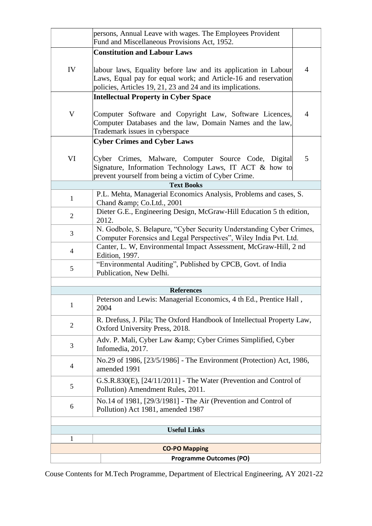|                | persons, Annual Leave with wages. The Employees Provident<br>Fund and Miscellaneous Provisions Act, 1952.                                                                                      |                |  |  |  |
|----------------|------------------------------------------------------------------------------------------------------------------------------------------------------------------------------------------------|----------------|--|--|--|
|                | <b>Constitution and Labour Laws</b>                                                                                                                                                            |                |  |  |  |
| IV             | labour laws, Equality before law and its application in Labour<br>Laws, Equal pay for equal work; and Article-16 and reservation<br>policies, Articles 19, 21, 23 and 24 and its implications. | $\overline{4}$ |  |  |  |
|                | <b>Intellectual Property in Cyber Space</b>                                                                                                                                                    |                |  |  |  |
| V              | Computer Software and Copyright Law, Software Licences,<br>Computer Databases and the law, Domain Names and the law,<br>Trademark issues in cyberspace                                         | $\overline{4}$ |  |  |  |
|                | <b>Cyber Crimes and Cyber Laws</b>                                                                                                                                                             |                |  |  |  |
| VI             | Cyber Crimes, Malware, Computer Source Code, Digital<br>Signature, Information Technology Laws, IT ACT & how to<br>prevent yourself from being a victim of Cyber Crime.                        | 5              |  |  |  |
|                | <b>Text Books</b>                                                                                                                                                                              |                |  |  |  |
| $\mathbf{1}$   | P.L. Mehta, Managerial Economics Analysis, Problems and cases, S.<br>Chand & Co.Ltd., 2001                                                                                                     |                |  |  |  |
| $\overline{2}$ | Dieter G.E., Engineering Design, McGraw-Hill Education 5 th edition,<br>2012.                                                                                                                  |                |  |  |  |
| 3              | N. Godbole, S. Belapure, "Cyber Security Understanding Cyber Crimes,<br>Computer Forensics and Legal Perspectives", Wiley India Pvt. Ltd.                                                      |                |  |  |  |
| $\overline{4}$ | Canter, L. W, Environmental Impact Assessment, McGraw-Hill, 2 nd<br>Edition, 1997.                                                                                                             |                |  |  |  |
| 5              | "Environmental Auditing", Published by CPCB, Govt. of India<br>Publication, New Delhi.                                                                                                         |                |  |  |  |
|                |                                                                                                                                                                                                |                |  |  |  |
|                | <b>References</b>                                                                                                                                                                              |                |  |  |  |
| 1              | Peterson and Lewis: Managerial Economics, 4 th Ed., Prentice Hall,<br>2004                                                                                                                     |                |  |  |  |
| $\overline{2}$ | R. Drefuss, J. Pila; The Oxford Handbook of Intellectual Property Law,<br>Oxford University Press, 2018.                                                                                       |                |  |  |  |
| 3              | Adv. P. Mali, Cyber Law & Cyber Crimes Simplified, Cyber<br>Infomedia, 2017.                                                                                                                   |                |  |  |  |
| $\overline{4}$ | No.29 of 1986, [23/5/1986] - The Environment (Protection) Act, 1986,<br>amended 1991                                                                                                           |                |  |  |  |
| 5              | G.S.R.830(E), [24/11/2011] - The Water (Prevention and Control of<br>Pollution) Amendment Rules, 2011.                                                                                         |                |  |  |  |
| 6              | No.14 of 1981, [29/3/1981] - The Air (Prevention and Control of<br>Pollution) Act 1981, amended 1987                                                                                           |                |  |  |  |
|                |                                                                                                                                                                                                |                |  |  |  |
|                | <b>Useful Links</b>                                                                                                                                                                            |                |  |  |  |
| 1              |                                                                                                                                                                                                |                |  |  |  |
|                | <b>CO-PO Mapping</b>                                                                                                                                                                           |                |  |  |  |
|                | <b>Programme Outcomes (PO)</b>                                                                                                                                                                 |                |  |  |  |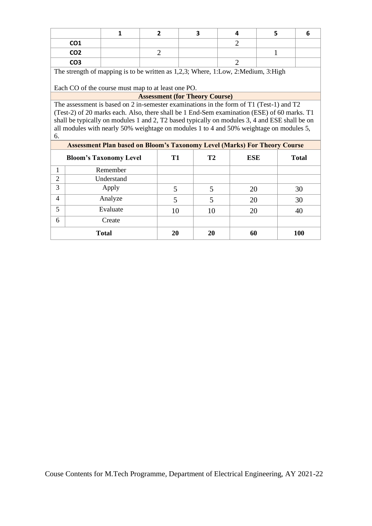|                                                                                   |                                                    | 1                             | $\overline{2}$                                                                                | 3  | 4              | 5            | 6            |  |  |  |
|-----------------------------------------------------------------------------------|----------------------------------------------------|-------------------------------|-----------------------------------------------------------------------------------------------|----|----------------|--------------|--------------|--|--|--|
|                                                                                   | CO <sub>1</sub>                                    |                               |                                                                                               |    | $\overline{2}$ |              |              |  |  |  |
|                                                                                   | CO <sub>2</sub>                                    |                               | 2                                                                                             |    |                | $\mathbf{1}$ |              |  |  |  |
| $\overline{2}$<br>CO <sub>3</sub>                                                 |                                                    |                               |                                                                                               |    |                |              |              |  |  |  |
| The strength of mapping is to be written as 1,2,3; Where, 1:Low, 2:Medium, 3:High |                                                    |                               |                                                                                               |    |                |              |              |  |  |  |
|                                                                                   |                                                    |                               |                                                                                               |    |                |              |              |  |  |  |
|                                                                                   | Each CO of the course must map to at least one PO. |                               |                                                                                               |    |                |              |              |  |  |  |
|                                                                                   |                                                    |                               | <b>Assessment (for Theory Course)</b>                                                         |    |                |              |              |  |  |  |
|                                                                                   |                                                    |                               | The assessment is based on 2 in-semester examinations in the form of T1 (Test-1) and T2       |    |                |              |              |  |  |  |
|                                                                                   |                                                    |                               | (Test-2) of 20 marks each. Also, there shall be 1 End-Sem examination (ESE) of 60 marks. T1   |    |                |              |              |  |  |  |
|                                                                                   |                                                    |                               | shall be typically on modules 1 and 2, T2 based typically on modules 3, 4 and ESE shall be on |    |                |              |              |  |  |  |
|                                                                                   |                                                    |                               | all modules with nearly 50% weightage on modules 1 to 4 and 50% weightage on modules 5,       |    |                |              |              |  |  |  |
| 6.                                                                                |                                                    |                               |                                                                                               |    |                |              |              |  |  |  |
|                                                                                   |                                                    |                               | <b>Assessment Plan based on Bloom's Taxonomy Level (Marks) For Theory Course</b>              |    |                |              |              |  |  |  |
|                                                                                   |                                                    | <b>Bloom's Taxonomy Level</b> | <b>T1</b>                                                                                     | T2 | <b>ESE</b>     |              | <b>Total</b> |  |  |  |
| $\mathbf{1}$                                                                      |                                                    | Remember                      |                                                                                               |    |                |              |              |  |  |  |
| 2                                                                                 |                                                    | Understand                    |                                                                                               |    |                |              |              |  |  |  |
| 3                                                                                 |                                                    | Apply                         | 5                                                                                             | 5  | 20             |              | 30           |  |  |  |
| 4                                                                                 |                                                    | Analyze                       | 5                                                                                             | 5  | 20             |              | 30           |  |  |  |
| 5                                                                                 |                                                    | Evaluate                      | 10                                                                                            | 10 | 20             |              | 40           |  |  |  |
| 6                                                                                 |                                                    | Create                        |                                                                                               |    |                |              |              |  |  |  |
|                                                                                   |                                                    | <b>Total</b>                  | 20                                                                                            | 20 | 60             |              | <b>100</b>   |  |  |  |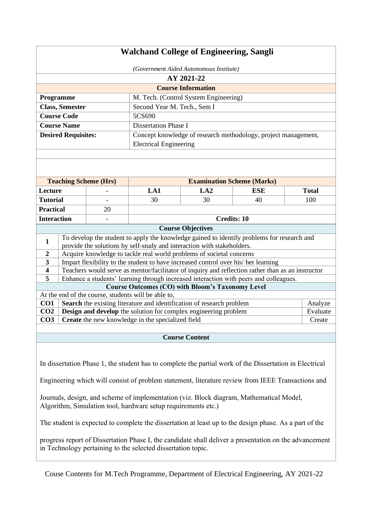| <b>Walchand College of Engineering, Sangli</b>                                                                                |                        |                |                                                                                    |                                       |                                                                                                   |  |              |
|-------------------------------------------------------------------------------------------------------------------------------|------------------------|----------------|------------------------------------------------------------------------------------|---------------------------------------|---------------------------------------------------------------------------------------------------|--|--------------|
| (Government Aided Autonomous Institute)                                                                                       |                        |                |                                                                                    |                                       |                                                                                                   |  |              |
|                                                                                                                               | AY 2021-22             |                |                                                                                    |                                       |                                                                                                   |  |              |
|                                                                                                                               |                        |                |                                                                                    | <b>Course Information</b>             |                                                                                                   |  |              |
|                                                                                                                               | Programme              |                |                                                                                    | M. Tech. (Control System Engineering) |                                                                                                   |  |              |
|                                                                                                                               | <b>Class, Semester</b> |                | Second Year M. Tech., Sem I                                                        |                                       |                                                                                                   |  |              |
|                                                                                                                               | <b>Course Code</b>     |                | 5CS690                                                                             |                                       |                                                                                                   |  |              |
|                                                                                                                               | <b>Course Name</b>     |                | <b>Dissertation Phase I</b>                                                        |                                       |                                                                                                   |  |              |
| <b>Desired Requisites:</b><br>Concept knowledge of research methodology, project management,<br><b>Electrical Engineering</b> |                        |                |                                                                                    |                                       |                                                                                                   |  |              |
|                                                                                                                               |                        |                |                                                                                    |                                       |                                                                                                   |  |              |
|                                                                                                                               |                        |                |                                                                                    |                                       |                                                                                                   |  |              |
| <b>Teaching Scheme (Hrs)</b>                                                                                                  |                        |                | <b>Examination Scheme (Marks)</b>                                                  |                                       |                                                                                                   |  |              |
| Lecture                                                                                                                       |                        |                | LA1                                                                                | LA2                                   | <b>ESE</b>                                                                                        |  | <b>Total</b> |
| <b>Tutorial</b>                                                                                                               |                        |                | 30                                                                                 | 30                                    | 40                                                                                                |  | 100          |
| <b>Practical</b>                                                                                                              |                        | 20             |                                                                                    |                                       |                                                                                                   |  |              |
| <b>Interaction</b>                                                                                                            |                        | $\overline{a}$ |                                                                                    | <b>Credits: 10</b>                    |                                                                                                   |  |              |
|                                                                                                                               |                        |                |                                                                                    | <b>Course Objectives</b>              |                                                                                                   |  |              |
|                                                                                                                               |                        |                |                                                                                    |                                       | To develop the student to apply the knowledge gained to identify problems for research and        |  |              |
| $\mathbf{1}$                                                                                                                  |                        |                | provide the solutions by self-study and interaction with stakeholders.             |                                       |                                                                                                   |  |              |
| $\boldsymbol{2}$                                                                                                              |                        |                | Acquire knowledge to tackle real world problems of societal concerns               |                                       |                                                                                                   |  |              |
| 3                                                                                                                             |                        |                | Impart flexibility to the student to have increased control over his/ her learning |                                       |                                                                                                   |  |              |
| $\overline{\mathbf{4}}$                                                                                                       |                        |                |                                                                                    |                                       | Teachers would serve as mentor/facilitator of inquiry and reflection rather than as an instructor |  |              |
| 5                                                                                                                             |                        |                |                                                                                    |                                       | Enhance a students' learning through increased interaction with peers and colleagues.             |  |              |
|                                                                                                                               |                        |                | <b>Course Outcomes (CO) with Bloom's Taxonomy Level</b>                            |                                       |                                                                                                   |  |              |
|                                                                                                                               |                        |                | At the end of the course, students will be able to,                                |                                       |                                                                                                   |  |              |
| CO1                                                                                                                           |                        |                | Search the existing literature and identification of research problem              |                                       |                                                                                                   |  | Analyze      |
| CO <sub>2</sub>                                                                                                               |                        |                | Design and develop the solution for complex engineering problem                    |                                       |                                                                                                   |  | Evaluate     |
| CO <sub>3</sub>                                                                                                               |                        |                | Create the new knowledge in the specialized field                                  |                                       |                                                                                                   |  | Create       |
|                                                                                                                               |                        |                |                                                                                    |                                       |                                                                                                   |  |              |
|                                                                                                                               |                        |                |                                                                                    | <b>Course Content</b>                 |                                                                                                   |  |              |

In dissertation Phase 1, the student has to complete the partial work of the Dissertation in Electrical

Engineering which will consist of problem statement, literature review from IEEE Transactions and

Journals, design, and scheme of implementation (viz. Block diagram, Mathematical Model, Algorithm, Simulation tool, hardware setup requirements etc.)

The student is expected to complete the dissertation at least up to the design phase. As a part of the

progress report of Dissertation Phase I, the candidate shall deliver a presentation on the advancement in Technology pertaining to the selected dissertation topic.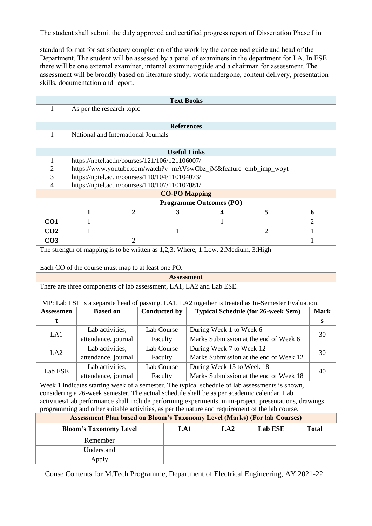The student shall submit the duly approved and certified progress report of Dissertation Phase I in

standard format for satisfactory completion of the work by the concerned guide and head of the Department. The student will be assessed by a panel of examiners in the department for LA. In ESE there will be one external examiner, internal examiner/guide and a chairman for assessment. The assessment will be broadly based on literature study, work undergone, content delivery, presentation skills, documentation and report.

|                                                                                                         | <b>Text Books</b>                                                                                   |                |                     |                      |  |                                                                  |                |  |                |
|---------------------------------------------------------------------------------------------------------|-----------------------------------------------------------------------------------------------------|----------------|---------------------|----------------------|--|------------------------------------------------------------------|----------------|--|----------------|
| 1                                                                                                       | As per the research topic                                                                           |                |                     |                      |  |                                                                  |                |  |                |
|                                                                                                         |                                                                                                     |                |                     |                      |  |                                                                  |                |  |                |
|                                                                                                         | <b>References</b>                                                                                   |                |                     |                      |  |                                                                  |                |  |                |
| $\mathbf{1}$                                                                                            | National and International Journals                                                                 |                |                     |                      |  |                                                                  |                |  |                |
|                                                                                                         |                                                                                                     |                |                     |                      |  |                                                                  |                |  |                |
|                                                                                                         |                                                                                                     |                |                     | <b>Useful Links</b>  |  |                                                                  |                |  |                |
| 1                                                                                                       | https://nptel.ac.in/courses/121/106/121106007/                                                      |                |                     |                      |  |                                                                  |                |  |                |
| $\overline{2}$<br>$\overline{3}$                                                                        |                                                                                                     |                |                     |                      |  | https://www.youtube.com/watch?v=mAVswCbz_jM&feature=emb_imp_woyt |                |  |                |
| $\overline{4}$                                                                                          | https://nptel.ac.in/courses/110/104/110104073/<br>https://nptel.ac.in/courses/110/107/110107081/    |                |                     |                      |  |                                                                  |                |  |                |
|                                                                                                         |                                                                                                     |                |                     | <b>CO-PO Mapping</b> |  |                                                                  |                |  |                |
|                                                                                                         |                                                                                                     |                |                     |                      |  | <b>Programme Outcomes (PO)</b>                                   |                |  |                |
|                                                                                                         | 1                                                                                                   | $\overline{2}$ |                     | 3                    |  | 4                                                                | 5              |  | 6              |
| CO <sub>1</sub>                                                                                         | $\mathbf{1}$                                                                                        |                |                     |                      |  | $\mathbf{1}$                                                     |                |  | $\overline{c}$ |
| CO <sub>2</sub>                                                                                         | $\mathbf{1}$                                                                                        |                |                     | 1                    |  |                                                                  | $\overline{2}$ |  | 1              |
| CO <sub>3</sub>                                                                                         |                                                                                                     | $\overline{2}$ |                     |                      |  |                                                                  |                |  | 1              |
|                                                                                                         | The strength of mapping is to be written as 1,2,3; Where, 1:Low, 2:Medium, 3:High                   |                |                     |                      |  |                                                                  |                |  |                |
|                                                                                                         |                                                                                                     |                |                     |                      |  |                                                                  |                |  |                |
|                                                                                                         | Each CO of the course must map to at least one PO.                                                  |                |                     |                      |  |                                                                  |                |  |                |
|                                                                                                         |                                                                                                     |                |                     | <b>Assessment</b>    |  |                                                                  |                |  |                |
|                                                                                                         | There are three components of lab assessment, LA1, LA2 and Lab ESE.                                 |                |                     |                      |  |                                                                  |                |  |                |
|                                                                                                         |                                                                                                     |                |                     |                      |  |                                                                  |                |  |                |
|                                                                                                         | IMP: Lab ESE is a separate head of passing. LA1, LA2 together is treated as In-Semester Evaluation. |                |                     |                      |  |                                                                  |                |  |                |
| <b>Assessmen</b>                                                                                        | <b>Based on</b>                                                                                     |                | <b>Conducted by</b> |                      |  | <b>Typical Schedule (for 26-week Sem)</b>                        |                |  | <b>Mark</b>    |
| t                                                                                                       |                                                                                                     |                |                     |                      |  |                                                                  |                |  | S              |
|                                                                                                         | Lab activities,                                                                                     |                | Lab Course          |                      |  | During Week 1 to Week 6                                          |                |  |                |
| LA1                                                                                                     | attendance, journal                                                                                 |                | Faculty             |                      |  | Marks Submission at the end of Week 6                            |                |  | 30             |
|                                                                                                         | Lab activities,                                                                                     |                | Lab Course          |                      |  | During Week 7 to Week 12                                         |                |  |                |
| LA <sub>2</sub>                                                                                         | attendance, journal                                                                                 |                | Faculty             |                      |  | Marks Submission at the end of Week 12                           |                |  | 30             |
|                                                                                                         | Lab activities,                                                                                     |                | Lab Course          |                      |  | During Week 15 to Week 18                                        |                |  |                |
| Lab ESE                                                                                                 | attendance, journal                                                                                 |                | Faculty             |                      |  | Marks Submission at the end of Week 18                           |                |  | 40             |
|                                                                                                         | Week 1 indicates starting week of a semester. The typical schedule of lab assessments is shown,     |                |                     |                      |  |                                                                  |                |  |                |
|                                                                                                         | considering a 26-week semester. The actual schedule shall be as per academic calendar. Lab          |                |                     |                      |  |                                                                  |                |  |                |
| activities/Lab performance shall include performing experiments, mini-project, presentations, drawings, |                                                                                                     |                |                     |                      |  |                                                                  |                |  |                |
| programming and other suitable activities, as per the nature and requirement of the lab course.         |                                                                                                     |                |                     |                      |  |                                                                  |                |  |                |
| <b>Assessment Plan based on Bloom's Taxonomy Level (Marks) (For lab Courses)</b>                        |                                                                                                     |                |                     |                      |  |                                                                  |                |  |                |
|                                                                                                         | LA1<br>LA2<br>Lab ESE<br><b>Total</b><br><b>Bloom's Taxonomy Level</b>                              |                |                     |                      |  |                                                                  |                |  |                |
|                                                                                                         | Remember                                                                                            |                |                     |                      |  |                                                                  |                |  |                |
|                                                                                                         | Understand                                                                                          |                |                     |                      |  |                                                                  |                |  |                |
|                                                                                                         | Apply                                                                                               |                |                     |                      |  |                                                                  |                |  |                |
|                                                                                                         |                                                                                                     |                |                     |                      |  |                                                                  |                |  |                |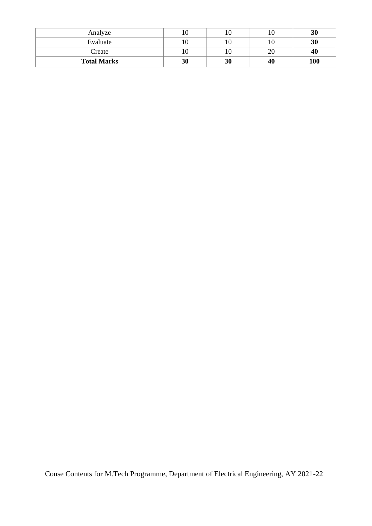| Analyze            |    |                |               | 30  |
|--------------------|----|----------------|---------------|-----|
| Evaluate           |    | 0 <sub>1</sub> |               | 30  |
| Create             |    | 10             | $\Delta$<br>∠ | 40  |
| <b>Total Marks</b> | 30 | 30             | 40            | 100 |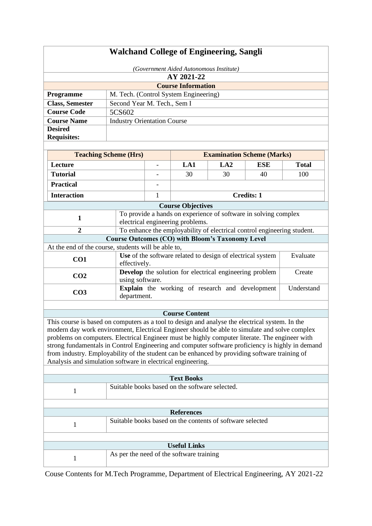|                                                                                                                                                                                                                                                                                                                                                                                                                                                                                                                                                                        | <b>Walchand College of Engineering, Sangli</b>                                                      |                          |                                                            |                                   |                   |              |
|------------------------------------------------------------------------------------------------------------------------------------------------------------------------------------------------------------------------------------------------------------------------------------------------------------------------------------------------------------------------------------------------------------------------------------------------------------------------------------------------------------------------------------------------------------------------|-----------------------------------------------------------------------------------------------------|--------------------------|------------------------------------------------------------|-----------------------------------|-------------------|--------------|
|                                                                                                                                                                                                                                                                                                                                                                                                                                                                                                                                                                        |                                                                                                     |                          | (Government Aided Autonomous Institute)                    |                                   |                   |              |
| AY 2021-22                                                                                                                                                                                                                                                                                                                                                                                                                                                                                                                                                             |                                                                                                     |                          |                                                            |                                   |                   |              |
|                                                                                                                                                                                                                                                                                                                                                                                                                                                                                                                                                                        |                                                                                                     |                          | <b>Course Information</b>                                  |                                   |                   |              |
| Programme                                                                                                                                                                                                                                                                                                                                                                                                                                                                                                                                                              |                                                                                                     |                          | M. Tech. (Control System Engineering)                      |                                   |                   |              |
| <b>Class, Semester</b>                                                                                                                                                                                                                                                                                                                                                                                                                                                                                                                                                 | Second Year M. Tech., Sem I                                                                         |                          |                                                            |                                   |                   |              |
| <b>Course Code</b>                                                                                                                                                                                                                                                                                                                                                                                                                                                                                                                                                     | 5CS602                                                                                              |                          |                                                            |                                   |                   |              |
| <b>Course Name</b>                                                                                                                                                                                                                                                                                                                                                                                                                                                                                                                                                     | <b>Industry Orientation Course</b>                                                                  |                          |                                                            |                                   |                   |              |
| <b>Desired</b><br><b>Requisites:</b>                                                                                                                                                                                                                                                                                                                                                                                                                                                                                                                                   |                                                                                                     |                          |                                                            |                                   |                   |              |
|                                                                                                                                                                                                                                                                                                                                                                                                                                                                                                                                                                        | <b>Teaching Scheme (Hrs)</b>                                                                        |                          |                                                            | <b>Examination Scheme (Marks)</b> |                   |              |
| Lecture                                                                                                                                                                                                                                                                                                                                                                                                                                                                                                                                                                |                                                                                                     | $\overline{\phantom{a}}$ | LA1                                                        | LA2                               | <b>ESE</b>        | <b>Total</b> |
| <b>Tutorial</b>                                                                                                                                                                                                                                                                                                                                                                                                                                                                                                                                                        |                                                                                                     |                          | 30                                                         | 30                                | 40                | 100          |
| <b>Practical</b>                                                                                                                                                                                                                                                                                                                                                                                                                                                                                                                                                       |                                                                                                     |                          |                                                            |                                   |                   |              |
|                                                                                                                                                                                                                                                                                                                                                                                                                                                                                                                                                                        |                                                                                                     |                          |                                                            |                                   |                   |              |
| <b>Interaction</b>                                                                                                                                                                                                                                                                                                                                                                                                                                                                                                                                                     |                                                                                                     | $\mathbf{1}$             |                                                            |                                   | <b>Credits: 1</b> |              |
|                                                                                                                                                                                                                                                                                                                                                                                                                                                                                                                                                                        |                                                                                                     |                          | <b>Course Objectives</b>                                   |                                   |                   |              |
| $\mathbf{1}$                                                                                                                                                                                                                                                                                                                                                                                                                                                                                                                                                           | To provide a hands on experience of software in solving complex<br>electrical engineering problems. |                          |                                                            |                                   |                   |              |
| $\overline{2}$                                                                                                                                                                                                                                                                                                                                                                                                                                                                                                                                                         | To enhance the employability of electrical control engineering student.                             |                          |                                                            |                                   |                   |              |
| <b>Course Outcomes (CO) with Bloom's Taxonomy Level</b>                                                                                                                                                                                                                                                                                                                                                                                                                                                                                                                |                                                                                                     |                          |                                                            |                                   |                   |              |
| At the end of the course, students will be able to,                                                                                                                                                                                                                                                                                                                                                                                                                                                                                                                    |                                                                                                     |                          |                                                            |                                   |                   |              |
| CO1                                                                                                                                                                                                                                                                                                                                                                                                                                                                                                                                                                    | effectively.                                                                                        |                          | Use of the software related to design of electrical system |                                   |                   | Evaluate     |
| CO <sub>2</sub>                                                                                                                                                                                                                                                                                                                                                                                                                                                                                                                                                        | using software.                                                                                     |                          | Develop the solution for electrical engineering problem    |                                   |                   | Create       |
| CO <sub>3</sub>                                                                                                                                                                                                                                                                                                                                                                                                                                                                                                                                                        | department.                                                                                         |                          | Explain the working of research and development            |                                   |                   | Understand   |
|                                                                                                                                                                                                                                                                                                                                                                                                                                                                                                                                                                        |                                                                                                     |                          |                                                            |                                   |                   |              |
|                                                                                                                                                                                                                                                                                                                                                                                                                                                                                                                                                                        |                                                                                                     |                          | <b>Course Content</b>                                      |                                   |                   |              |
| This course is based on computers as a tool to design and analyse the electrical system. In the<br>modern day work environment, Electrical Engineer should be able to simulate and solve complex<br>problems on computers. Electrical Engineer must be highly computer literate. The engineer with<br>strong fundamentals in Control Engineering and computer software proficiency is highly in demand<br>from industry. Employability of the student can be enhanced by providing software training of<br>Analysis and simulation software in electrical engineering. |                                                                                                     |                          |                                                            |                                   |                   |              |
|                                                                                                                                                                                                                                                                                                                                                                                                                                                                                                                                                                        |                                                                                                     |                          |                                                            |                                   |                   |              |
|                                                                                                                                                                                                                                                                                                                                                                                                                                                                                                                                                                        |                                                                                                     |                          | <b>Text Books</b>                                          |                                   |                   |              |
| 1                                                                                                                                                                                                                                                                                                                                                                                                                                                                                                                                                                      |                                                                                                     |                          | Suitable books based on the software selected.             |                                   |                   |              |
|                                                                                                                                                                                                                                                                                                                                                                                                                                                                                                                                                                        |                                                                                                     |                          | <b>References</b>                                          |                                   |                   |              |
| 1                                                                                                                                                                                                                                                                                                                                                                                                                                                                                                                                                                      |                                                                                                     |                          | Suitable books based on the contents of software selected  |                                   |                   |              |
|                                                                                                                                                                                                                                                                                                                                                                                                                                                                                                                                                                        |                                                                                                     |                          |                                                            |                                   |                   |              |
|                                                                                                                                                                                                                                                                                                                                                                                                                                                                                                                                                                        |                                                                                                     |                          | <b>Useful Links</b>                                        |                                   |                   |              |
| 1                                                                                                                                                                                                                                                                                                                                                                                                                                                                                                                                                                      |                                                                                                     |                          | As per the need of the software training                   |                                   |                   |              |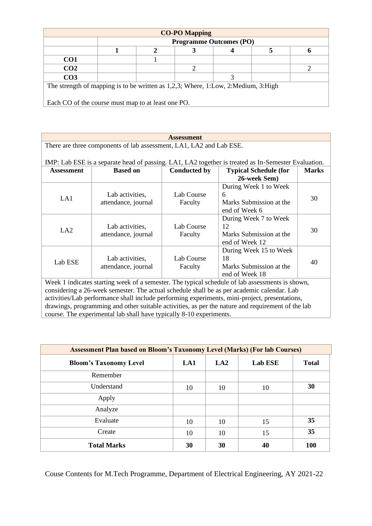|                                                                                   |                                |  | <b>CO-PO Mapping</b> |  |  |  |  |
|-----------------------------------------------------------------------------------|--------------------------------|--|----------------------|--|--|--|--|
|                                                                                   | <b>Programme Outcomes (PO)</b> |  |                      |  |  |  |  |
|                                                                                   |                                |  |                      |  |  |  |  |
| CO <sub>1</sub>                                                                   |                                |  |                      |  |  |  |  |
| CO <sub>2</sub>                                                                   |                                |  |                      |  |  |  |  |
| CO <sub>3</sub>                                                                   |                                |  |                      |  |  |  |  |
| The strength of mapping is to be written as 1,2,3; Where, 1:Low, 2:Medium, 3:High |                                |  |                      |  |  |  |  |
|                                                                                   |                                |  |                      |  |  |  |  |
| Each CO of the course must map to at least one PO.                                |                                |  |                      |  |  |  |  |

| <b>Assessment</b>                                                                                                                                                                           |                                                                     |                     |                                                                                                 |              |  |  |  |  |
|---------------------------------------------------------------------------------------------------------------------------------------------------------------------------------------------|---------------------------------------------------------------------|---------------------|-------------------------------------------------------------------------------------------------|--------------|--|--|--|--|
| There are three components of lab assessment, LA1, LA2 and Lab ESE.                                                                                                                         |                                                                     |                     |                                                                                                 |              |  |  |  |  |
|                                                                                                                                                                                             |                                                                     |                     |                                                                                                 |              |  |  |  |  |
| IMP: Lab ESE is a separate head of passing. LA1, LA2 together is treated as In-Semester Evaluation.                                                                                         |                                                                     |                     |                                                                                                 |              |  |  |  |  |
| <b>Assessment</b>                                                                                                                                                                           | <b>Based on</b>                                                     | <b>Conducted by</b> | <b>Typical Schedule (for</b>                                                                    | <b>Marks</b> |  |  |  |  |
|                                                                                                                                                                                             |                                                                     |                     | 26-week Sem)                                                                                    |              |  |  |  |  |
|                                                                                                                                                                                             |                                                                     |                     | During Week 1 to Week                                                                           |              |  |  |  |  |
|                                                                                                                                                                                             | Lab activities,                                                     | Lab Course          | 6                                                                                               | 30           |  |  |  |  |
| LA1                                                                                                                                                                                         | attendance, journal                                                 | Faculty             | Marks Submission at the                                                                         |              |  |  |  |  |
|                                                                                                                                                                                             |                                                                     |                     | end of Week 6                                                                                   |              |  |  |  |  |
|                                                                                                                                                                                             |                                                                     |                     | During Week 7 to Week                                                                           |              |  |  |  |  |
|                                                                                                                                                                                             | Lab activities,                                                     | Lab Course          | 12                                                                                              |              |  |  |  |  |
| LA2                                                                                                                                                                                         | attendance, journal                                                 | Faculty             | Marks Submission at the                                                                         | 30           |  |  |  |  |
|                                                                                                                                                                                             |                                                                     |                     | end of Week 12                                                                                  |              |  |  |  |  |
|                                                                                                                                                                                             |                                                                     |                     | During Week 15 to Week                                                                          |              |  |  |  |  |
|                                                                                                                                                                                             | Lab activities,                                                     | Lab Course          | 18                                                                                              |              |  |  |  |  |
| Lab ESE                                                                                                                                                                                     | attendance, journal                                                 | Faculty             | Marks Submission at the                                                                         | 40           |  |  |  |  |
|                                                                                                                                                                                             |                                                                     |                     | end of Week 18                                                                                  |              |  |  |  |  |
|                                                                                                                                                                                             |                                                                     |                     | Week 1 indicates starting week of a semester. The typical schedule of lab assessments is shown, |              |  |  |  |  |
|                                                                                                                                                                                             |                                                                     |                     |                                                                                                 |              |  |  |  |  |
| considering a 26-week semester. The actual schedule shall be as per academic calendar. Lab<br>activities/Lab performance shall include performing experiments, mini-project, presentations, |                                                                     |                     |                                                                                                 |              |  |  |  |  |
| drawings, programming and other suitable activities, as per the nature and requirement of the lab                                                                                           |                                                                     |                     |                                                                                                 |              |  |  |  |  |
|                                                                                                                                                                                             | course. The experimental lab shall have typically 8-10 experiments. |                     |                                                                                                 |              |  |  |  |  |
|                                                                                                                                                                                             |                                                                     |                     |                                                                                                 |              |  |  |  |  |

| <b>Assessment Plan based on Bloom's Taxonomy Level (Marks) (For lab Courses)</b> |     |     |                |              |  |  |  |
|----------------------------------------------------------------------------------|-----|-----|----------------|--------------|--|--|--|
| <b>Bloom's Taxonomy Level</b>                                                    | LA1 | LA2 | <b>Lab ESE</b> | <b>Total</b> |  |  |  |
| Remember                                                                         |     |     |                |              |  |  |  |
| Understand                                                                       | 10  | 10  | 10             | 30           |  |  |  |
| Apply                                                                            |     |     |                |              |  |  |  |
| Analyze                                                                          |     |     |                |              |  |  |  |
| Evaluate                                                                         | 10  | 10  | 15             | 35           |  |  |  |
| Create                                                                           | 10  | 10  | 15             | 35           |  |  |  |
| <b>Total Marks</b>                                                               | 30  | 30  | 40             | 100          |  |  |  |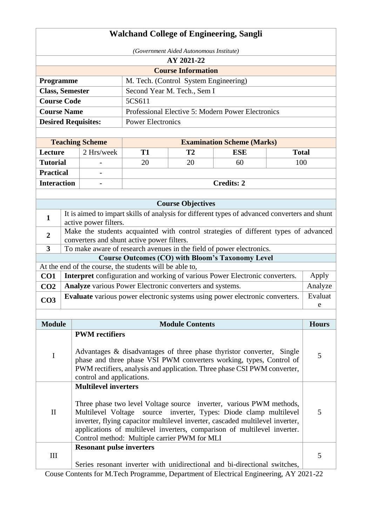|                                                                                                                                                                                                                                                                                                                                                                                                         |                                                                                                                                   |                                 |                                                         |                                                          | <b>Walchand College of Engineering, Sangli</b>                                                                                                                                                                           |     |              |  |  |
|---------------------------------------------------------------------------------------------------------------------------------------------------------------------------------------------------------------------------------------------------------------------------------------------------------------------------------------------------------------------------------------------------------|-----------------------------------------------------------------------------------------------------------------------------------|---------------------------------|---------------------------------------------------------|----------------------------------------------------------|--------------------------------------------------------------------------------------------------------------------------------------------------------------------------------------------------------------------------|-----|--------------|--|--|
| (Government Aided Autonomous Institute)                                                                                                                                                                                                                                                                                                                                                                 |                                                                                                                                   |                                 |                                                         |                                                          |                                                                                                                                                                                                                          |     |              |  |  |
|                                                                                                                                                                                                                                                                                                                                                                                                         |                                                                                                                                   |                                 |                                                         | AY 2021-22                                               |                                                                                                                                                                                                                          |     |              |  |  |
|                                                                                                                                                                                                                                                                                                                                                                                                         |                                                                                                                                   |                                 |                                                         | <b>Course Information</b>                                |                                                                                                                                                                                                                          |     |              |  |  |
| Programme                                                                                                                                                                                                                                                                                                                                                                                               |                                                                                                                                   |                                 |                                                         | M. Tech. (Control System Engineering)                    |                                                                                                                                                                                                                          |     |              |  |  |
| <b>Class, Semester</b>                                                                                                                                                                                                                                                                                                                                                                                  |                                                                                                                                   |                                 |                                                         | Second Year M. Tech., Sem I                              |                                                                                                                                                                                                                          |     |              |  |  |
| <b>Course Code</b>                                                                                                                                                                                                                                                                                                                                                                                      |                                                                                                                                   |                                 | 5CS611                                                  |                                                          |                                                                                                                                                                                                                          |     |              |  |  |
| <b>Course Name</b>                                                                                                                                                                                                                                                                                                                                                                                      |                                                                                                                                   |                                 |                                                         |                                                          | Professional Elective 5: Modern Power Electronics                                                                                                                                                                        |     |              |  |  |
|                                                                                                                                                                                                                                                                                                                                                                                                         |                                                                                                                                   | <b>Desired Requisites:</b>      | <b>Power Electronics</b>                                |                                                          |                                                                                                                                                                                                                          |     |              |  |  |
|                                                                                                                                                                                                                                                                                                                                                                                                         |                                                                                                                                   |                                 |                                                         |                                                          |                                                                                                                                                                                                                          |     |              |  |  |
|                                                                                                                                                                                                                                                                                                                                                                                                         |                                                                                                                                   | <b>Teaching Scheme</b>          |                                                         |                                                          | <b>Examination Scheme (Marks)</b><br><b>ESE</b><br><b>Total</b>                                                                                                                                                          |     |              |  |  |
| Lecture                                                                                                                                                                                                                                                                                                                                                                                                 |                                                                                                                                   | 2 Hrs/week                      | <b>T1</b>                                               | T2                                                       |                                                                                                                                                                                                                          |     |              |  |  |
| <b>Tutorial</b>                                                                                                                                                                                                                                                                                                                                                                                         |                                                                                                                                   |                                 | 20                                                      | 20                                                       | 60                                                                                                                                                                                                                       | 100 |              |  |  |
| <b>Practical</b>                                                                                                                                                                                                                                                                                                                                                                                        |                                                                                                                                   |                                 |                                                         |                                                          |                                                                                                                                                                                                                          |     |              |  |  |
| <b>Interaction</b>                                                                                                                                                                                                                                                                                                                                                                                      |                                                                                                                                   |                                 |                                                         |                                                          | <b>Credits: 2</b>                                                                                                                                                                                                        |     |              |  |  |
|                                                                                                                                                                                                                                                                                                                                                                                                         |                                                                                                                                   |                                 |                                                         | <b>Course Objectives</b>                                 |                                                                                                                                                                                                                          |     |              |  |  |
|                                                                                                                                                                                                                                                                                                                                                                                                         |                                                                                                                                   |                                 |                                                         |                                                          | It is aimed to impart skills of analysis for different types of advanced converters and shunt                                                                                                                            |     |              |  |  |
| $\mathbf{1}$                                                                                                                                                                                                                                                                                                                                                                                            |                                                                                                                                   | active power filters.           |                                                         |                                                          |                                                                                                                                                                                                                          |     |              |  |  |
| $\overline{2}$                                                                                                                                                                                                                                                                                                                                                                                          | Make the students acquainted with control strategies of different types of advanced<br>converters and shunt active power filters. |                                 |                                                         |                                                          |                                                                                                                                                                                                                          |     |              |  |  |
| $\overline{3}$                                                                                                                                                                                                                                                                                                                                                                                          |                                                                                                                                   |                                 |                                                         |                                                          | To make aware of research avenues in the field of power electronics.                                                                                                                                                     |     |              |  |  |
|                                                                                                                                                                                                                                                                                                                                                                                                         |                                                                                                                                   |                                 |                                                         |                                                          | <b>Course Outcomes (CO) with Bloom's Taxonomy Level</b>                                                                                                                                                                  |     |              |  |  |
|                                                                                                                                                                                                                                                                                                                                                                                                         |                                                                                                                                   |                                 | At the end of the course, the students will be able to, |                                                          |                                                                                                                                                                                                                          |     |              |  |  |
| CO <sub>1</sub>                                                                                                                                                                                                                                                                                                                                                                                         |                                                                                                                                   |                                 |                                                         |                                                          | Interpret configuration and working of various Power Electronic converters.                                                                                                                                              |     | Apply        |  |  |
| CO <sub>2</sub>                                                                                                                                                                                                                                                                                                                                                                                         |                                                                                                                                   |                                 |                                                         | Analyze various Power Electronic converters and systems. |                                                                                                                                                                                                                          |     | Analyze      |  |  |
| CO <sub>3</sub>                                                                                                                                                                                                                                                                                                                                                                                         |                                                                                                                                   |                                 |                                                         |                                                          | Evaluate various power electronic systems using power electronic converters.                                                                                                                                             |     | Evaluat      |  |  |
|                                                                                                                                                                                                                                                                                                                                                                                                         |                                                                                                                                   |                                 |                                                         |                                                          |                                                                                                                                                                                                                          |     | $\mathbf{e}$ |  |  |
| <b>Module</b>                                                                                                                                                                                                                                                                                                                                                                                           |                                                                                                                                   |                                 |                                                         | <b>Module Contents</b>                                   |                                                                                                                                                                                                                          |     | <b>Hours</b> |  |  |
|                                                                                                                                                                                                                                                                                                                                                                                                         |                                                                                                                                   | <b>PWM</b> rectifiers           |                                                         |                                                          |                                                                                                                                                                                                                          |     |              |  |  |
| $\bf I$                                                                                                                                                                                                                                                                                                                                                                                                 |                                                                                                                                   | control and applications.       |                                                         |                                                          | Advantages & disadvantages of three phase thyristor converter, Single<br>phase and three phase VSI PWM converters working, types, Control of<br>PWM rectifiers, analysis and application. Three phase CSI PWM converter, |     | 5            |  |  |
| <b>Multilevel inverters</b><br>Three phase two level Voltage source inverter, various PWM methods,<br>$\mathbf{I}$<br>source inverter, Types: Diode clamp multilevel<br>Multilevel Voltage<br>inverter, flying capacitor multilevel inverter, cascaded multilevel inverter,<br>applications of multilevel inverters, comparison of multilevel inverter.<br>Control method: Multiple carrier PWM for MLI |                                                                                                                                   |                                 |                                                         |                                                          | 5                                                                                                                                                                                                                        |     |              |  |  |
| III                                                                                                                                                                                                                                                                                                                                                                                                     |                                                                                                                                   | <b>Resonant pulse inverters</b> |                                                         |                                                          | Series resonant inverter with unidirectional and bi-directional switches,                                                                                                                                                |     | 5            |  |  |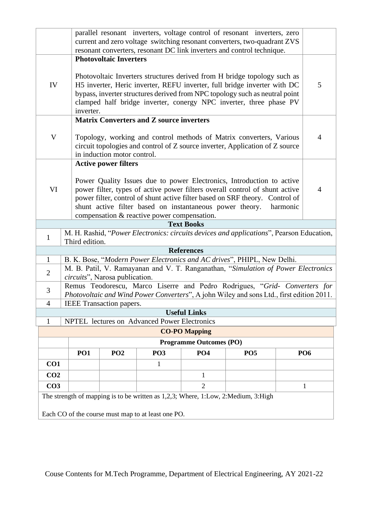|                                                                                                                            |            | parallel resonant inverters, voltage control of resonant inverters, zero<br>current and zero voltage switching resonant converters, two-quadrant ZVS                                                                                                                                                                                                        |                                                    |                                |                                                                                                                                                     |  |                |  |  |
|----------------------------------------------------------------------------------------------------------------------------|------------|-------------------------------------------------------------------------------------------------------------------------------------------------------------------------------------------------------------------------------------------------------------------------------------------------------------------------------------------------------------|----------------------------------------------------|--------------------------------|-----------------------------------------------------------------------------------------------------------------------------------------------------|--|----------------|--|--|
|                                                                                                                            |            |                                                                                                                                                                                                                                                                                                                                                             |                                                    |                                | resonant converters, resonant DC link inverters and control technique.                                                                              |  |                |  |  |
|                                                                                                                            |            | <b>Photovoltaic Inverters</b>                                                                                                                                                                                                                                                                                                                               |                                                    |                                |                                                                                                                                                     |  |                |  |  |
| IV                                                                                                                         |            | Photovoltaic Inverters structures derived from H bridge topology such as<br>H5 inverter, Heric inverter, REFU inverter, full bridge inverter with DC<br>bypass, inverter structures derived from NPC topology such as neutral point<br>clamped half bridge inverter, conergy NPC inverter, three phase PV<br>inverter.                                      |                                                    |                                |                                                                                                                                                     |  |                |  |  |
|                                                                                                                            |            |                                                                                                                                                                                                                                                                                                                                                             | <b>Matrix Converters and Z source inverters</b>    |                                |                                                                                                                                                     |  |                |  |  |
| $\mathbf V$                                                                                                                |            | in induction motor control.                                                                                                                                                                                                                                                                                                                                 |                                                    |                                | Topology, working and control methods of Matrix converters, Various<br>circuit topologies and control of Z source inverter, Application of Z source |  | $\overline{4}$ |  |  |
|                                                                                                                            |            | <b>Active power filters</b>                                                                                                                                                                                                                                                                                                                                 |                                                    |                                |                                                                                                                                                     |  |                |  |  |
| VI                                                                                                                         |            | Power Quality Issues due to power Electronics, Introduction to active<br>power filter, types of active power filters overall control of shunt active<br>power filter, control of shunt active filter based on SRF theory. Control of<br>shunt active filter based on instantaneous power theory.<br>harmonic<br>compensation & reactive power compensation. |                                                    |                                |                                                                                                                                                     |  |                |  |  |
| <b>Text Books</b>                                                                                                          |            |                                                                                                                                                                                                                                                                                                                                                             |                                                    |                                |                                                                                                                                                     |  |                |  |  |
| M. H. Rashid, "Power Electronics: circuits devices and applications", Pearson Education,<br>$\mathbf{1}$<br>Third edition. |            |                                                                                                                                                                                                                                                                                                                                                             |                                                    |                                |                                                                                                                                                     |  |                |  |  |
|                                                                                                                            |            |                                                                                                                                                                                                                                                                                                                                                             |                                                    | <b>References</b>              |                                                                                                                                                     |  |                |  |  |
| $\mathbf{1}$                                                                                                               |            |                                                                                                                                                                                                                                                                                                                                                             |                                                    |                                | B. K. Bose, "Modern Power Electronics and AC drives", PHIPL, New Delhi.                                                                             |  |                |  |  |
| $\overline{2}$                                                                                                             |            | circuits", Narosa publication.                                                                                                                                                                                                                                                                                                                              |                                                    |                                | M. B. Patil, V. Ramayanan and V. T. Ranganathan, "Simulation of Power Electronics                                                                   |  |                |  |  |
| 3                                                                                                                          |            |                                                                                                                                                                                                                                                                                                                                                             |                                                    |                                | Remus Teodorescu, Marco Liserre and Pedro Rodrigues, "Grid- Converters for                                                                          |  |                |  |  |
|                                                                                                                            |            |                                                                                                                                                                                                                                                                                                                                                             |                                                    |                                | Photovoltaic and Wind Power Converters", A john Wiley and sons Ltd., first edition 2011.                                                            |  |                |  |  |
| $\overline{4}$                                                                                                             |            | <b>IEEE</b> Transaction papers.                                                                                                                                                                                                                                                                                                                             |                                                    |                                |                                                                                                                                                     |  |                |  |  |
| 1                                                                                                                          |            |                                                                                                                                                                                                                                                                                                                                                             | NPTEL lectures on Advanced Power Electronics       | <b>Useful Links</b>            |                                                                                                                                                     |  |                |  |  |
|                                                                                                                            |            |                                                                                                                                                                                                                                                                                                                                                             |                                                    | <b>CO-PO Mapping</b>           |                                                                                                                                                     |  |                |  |  |
|                                                                                                                            |            |                                                                                                                                                                                                                                                                                                                                                             |                                                    | <b>Programme Outcomes (PO)</b> |                                                                                                                                                     |  |                |  |  |
|                                                                                                                            | <b>PO1</b> | PO <sub>2</sub>                                                                                                                                                                                                                                                                                                                                             | PO <sub>3</sub>                                    | <b>PO4</b>                     | PO <sub>5</sub>                                                                                                                                     |  | <b>PO6</b>     |  |  |
| CO1                                                                                                                        |            |                                                                                                                                                                                                                                                                                                                                                             | $\mathbf{1}$                                       |                                |                                                                                                                                                     |  |                |  |  |
| CO <sub>2</sub>                                                                                                            |            |                                                                                                                                                                                                                                                                                                                                                             |                                                    | 1                              |                                                                                                                                                     |  |                |  |  |
| CO <sub>3</sub>                                                                                                            |            |                                                                                                                                                                                                                                                                                                                                                             |                                                    | $\overline{2}$                 |                                                                                                                                                     |  | 1              |  |  |
|                                                                                                                            |            |                                                                                                                                                                                                                                                                                                                                                             |                                                    |                                | The strength of mapping is to be written as 1,2,3; Where, 1:Low, 2:Medium, 3:High                                                                   |  |                |  |  |
|                                                                                                                            |            |                                                                                                                                                                                                                                                                                                                                                             | Each CO of the course must map to at least one PO. |                                |                                                                                                                                                     |  |                |  |  |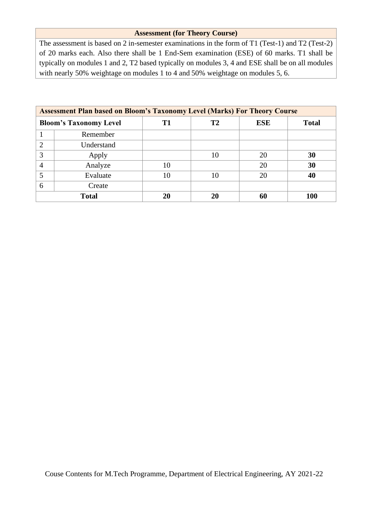## **Assessment (for Theory Course)**

The assessment is based on 2 in-semester examinations in the form of T1 (Test-1) and T2 (Test-2) of 20 marks each. Also there shall be 1 End-Sem examination (ESE) of 60 marks. T1 shall be typically on modules 1 and 2, T2 based typically on modules 3, 4 and ESE shall be on all modules with nearly 50% weightage on modules 1 to 4 and 50% weightage on modules 5, 6.

|                | <b>Assessment Plan based on Bloom's Taxonomy Level (Marks) For Theory Course</b> |    |    |            |              |  |  |
|----------------|----------------------------------------------------------------------------------|----|----|------------|--------------|--|--|
|                | <b>Bloom's Taxonomy Level</b>                                                    | T1 | Т2 | <b>ESE</b> | <b>Total</b> |  |  |
|                | Remember                                                                         |    |    |            |              |  |  |
| 2              | Understand                                                                       |    |    |            |              |  |  |
| 3              | Apply                                                                            |    | 10 | 20         | 30           |  |  |
| $\overline{4}$ | Analyze                                                                          | 10 |    | 20         | 30           |  |  |
| 5              | Evaluate                                                                         | 10 | 10 | 20         | 40           |  |  |
| 6              | Create                                                                           |    |    |            |              |  |  |
|                | <b>Total</b><br>20<br>20<br>60<br><b>100</b>                                     |    |    |            |              |  |  |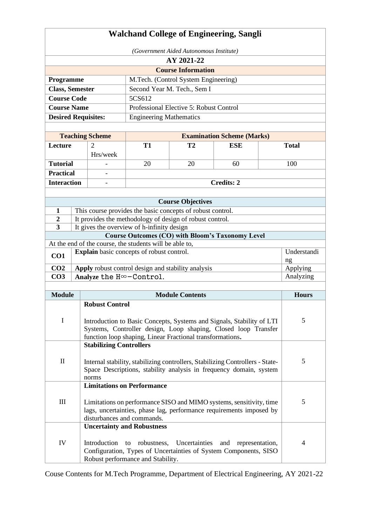|                                                                | <b>Walchand College of Engineering, Sangli</b> |                                                                                                                                                                                                           |                                                                                                             |                                                            |                                                                                            |   |                |  |
|----------------------------------------------------------------|------------------------------------------------|-----------------------------------------------------------------------------------------------------------------------------------------------------------------------------------------------------------|-------------------------------------------------------------------------------------------------------------|------------------------------------------------------------|--------------------------------------------------------------------------------------------|---|----------------|--|
|                                                                | (Government Aided Autonomous Institute)        |                                                                                                                                                                                                           |                                                                                                             |                                                            |                                                                                            |   |                |  |
|                                                                |                                                |                                                                                                                                                                                                           |                                                                                                             | AY 2021-22                                                 |                                                                                            |   |                |  |
|                                                                |                                                |                                                                                                                                                                                                           |                                                                                                             | <b>Course Information</b>                                  |                                                                                            |   |                |  |
| Programme                                                      |                                                |                                                                                                                                                                                                           |                                                                                                             | M.Tech. (Control System Engineering)                       |                                                                                            |   |                |  |
| <b>Class, Semester</b>                                         |                                                |                                                                                                                                                                                                           |                                                                                                             | Second Year M. Tech., Sem I                                |                                                                                            |   |                |  |
| <b>Course Code</b>                                             |                                                |                                                                                                                                                                                                           | 5CS612                                                                                                      |                                                            |                                                                                            |   |                |  |
| <b>Course Name</b>                                             |                                                |                                                                                                                                                                                                           |                                                                                                             | Professional Elective 5: Robust Control                    |                                                                                            |   |                |  |
| <b>Desired Requisites:</b>                                     |                                                |                                                                                                                                                                                                           | <b>Engineering Mathematics</b>                                                                              |                                                            |                                                                                            |   |                |  |
|                                                                |                                                |                                                                                                                                                                                                           |                                                                                                             |                                                            |                                                                                            |   |                |  |
|                                                                |                                                | <b>Teaching Scheme</b>                                                                                                                                                                                    |                                                                                                             |                                                            | <b>Examination Scheme (Marks)</b>                                                          |   |                |  |
| Lecture                                                        |                                                | $\overline{2}$                                                                                                                                                                                            | <b>T1</b>                                                                                                   | T2                                                         | <b>ESE</b>                                                                                 |   | <b>Total</b>   |  |
|                                                                |                                                | Hrs/week                                                                                                                                                                                                  |                                                                                                             |                                                            |                                                                                            |   |                |  |
| <b>Tutorial</b>                                                |                                                |                                                                                                                                                                                                           | 20                                                                                                          | 20                                                         | 60                                                                                         |   | 100            |  |
| <b>Practical</b>                                               |                                                |                                                                                                                                                                                                           |                                                                                                             |                                                            |                                                                                            |   |                |  |
| <b>Interaction</b>                                             |                                                |                                                                                                                                                                                                           |                                                                                                             |                                                            | <b>Credits: 2</b>                                                                          |   |                |  |
|                                                                |                                                |                                                                                                                                                                                                           |                                                                                                             |                                                            |                                                                                            |   |                |  |
|                                                                |                                                |                                                                                                                                                                                                           |                                                                                                             | <b>Course Objectives</b>                                   |                                                                                            |   |                |  |
| $\mathbf{1}$                                                   |                                                |                                                                                                                                                                                                           |                                                                                                             | This course provides the basic concepts of robust control. |                                                                                            |   |                |  |
| $\overline{2}$                                                 |                                                |                                                                                                                                                                                                           |                                                                                                             | It provides the methodology of design of robust control.   |                                                                                            |   |                |  |
| $\overline{\mathbf{3}}$                                        |                                                |                                                                                                                                                                                                           | It gives the overview of h-infinity design                                                                  |                                                            |                                                                                            |   |                |  |
|                                                                |                                                |                                                                                                                                                                                                           |                                                                                                             |                                                            | <b>Course Outcomes (CO) with Bloom's Taxonomy Level</b>                                    |   |                |  |
|                                                                |                                                |                                                                                                                                                                                                           | At the end of the course, the students will be able to,<br><b>Explain</b> basic concepts of robust control. |                                                            |                                                                                            |   | Understandi    |  |
| CO1                                                            |                                                |                                                                                                                                                                                                           |                                                                                                             |                                                            |                                                                                            |   | ng             |  |
| CO <sub>2</sub>                                                |                                                |                                                                                                                                                                                                           |                                                                                                             | Apply robust control design and stability analysis         |                                                                                            |   | Applying       |  |
| CO <sub>3</sub>                                                |                                                |                                                                                                                                                                                                           | Analyze the $H^{\infty}-Control$ .                                                                          |                                                            |                                                                                            |   | Analyzing      |  |
|                                                                |                                                |                                                                                                                                                                                                           |                                                                                                             |                                                            |                                                                                            |   |                |  |
| <b>Module</b>                                                  |                                                |                                                                                                                                                                                                           |                                                                                                             | <b>Module Contents</b>                                     |                                                                                            |   | <b>Hours</b>   |  |
|                                                                |                                                | <b>Robust Control</b>                                                                                                                                                                                     |                                                                                                             |                                                            |                                                                                            |   |                |  |
| I                                                              |                                                | 5<br>Introduction to Basic Concepts, Systems and Signals, Stability of LTI<br>Systems, Controller design, Loop shaping, Closed loop Transfer<br>function loop shaping, Linear Fractional transformations. |                                                                                                             |                                                            |                                                                                            |   |                |  |
|                                                                |                                                | <b>Stabilizing Controllers</b>                                                                                                                                                                            |                                                                                                             |                                                            |                                                                                            |   |                |  |
| $\mathbf{I}$                                                   |                                                | Internal stability, stabilizing controllers, Stabilizing Controllers - State-<br>Space Descriptions, stability analysis in frequency domain, system<br>norms                                              |                                                                                                             |                                                            |                                                                                            |   | 5              |  |
|                                                                |                                                |                                                                                                                                                                                                           | <b>Limitations on Performance</b>                                                                           |                                                            |                                                                                            |   |                |  |
| $\mathop{\mathrm{III}}\nolimits$<br>disturbances and commands. |                                                | Limitations on performance SISO and MIMO systems, sensitivity, time<br>lags, uncertainties, phase lag, performance requirements imposed by                                                                |                                                                                                             |                                                            |                                                                                            | 5 |                |  |
|                                                                |                                                |                                                                                                                                                                                                           | <b>Uncertainty and Robustness</b>                                                                           |                                                            |                                                                                            |   |                |  |
| IV                                                             |                                                | Introduction                                                                                                                                                                                              | robustness,<br>to<br>Robust performance and Stability.                                                      | Uncertainties                                              | and<br>representation,<br>Configuration, Types of Uncertainties of System Components, SISO |   | $\overline{4}$ |  |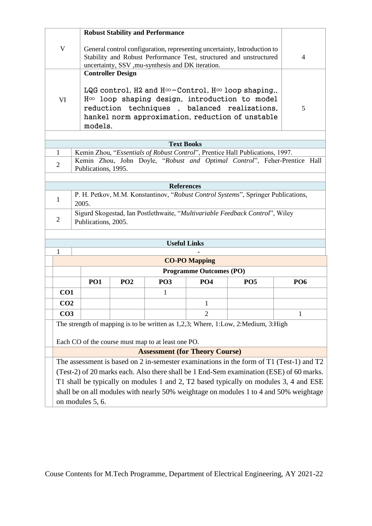|                                                                                         |                                                                                                                                                                                                                                               |                                                                                                                                                | <b>Robust Stability and Performance</b>            |                                |                                                                                       |                 |  |  |
|-----------------------------------------------------------------------------------------|-----------------------------------------------------------------------------------------------------------------------------------------------------------------------------------------------------------------------------------------------|------------------------------------------------------------------------------------------------------------------------------------------------|----------------------------------------------------|--------------------------------|---------------------------------------------------------------------------------------|-----------------|--|--|
| V                                                                                       | uncertainty, SSV ,mu-synthesis and DK iteration.                                                                                                                                                                                              | General control configuration, representing uncertainty, Introduction to<br>Stability and Robust Performance Test, structured and unstructured | $\overline{4}$                                     |                                |                                                                                       |                 |  |  |
|                                                                                         | <b>Controller Design</b>                                                                                                                                                                                                                      |                                                                                                                                                |                                                    |                                |                                                                                       |                 |  |  |
| VI                                                                                      | LQG control, H2 and $H^{\infty}$ -Control, $H^{\infty}$ loop shaping,,<br>$H\infty$ loop shaping design, introduction to model<br>reduction techniques, balanced realizations,<br>hankel norm approximation, reduction of unstable<br>models. | 5                                                                                                                                              |                                                    |                                |                                                                                       |                 |  |  |
|                                                                                         |                                                                                                                                                                                                                                               |                                                                                                                                                |                                                    |                                |                                                                                       |                 |  |  |
|                                                                                         |                                                                                                                                                                                                                                               |                                                                                                                                                | <b>Text Books</b>                                  |                                |                                                                                       |                 |  |  |
| $\mathbf{1}$                                                                            |                                                                                                                                                                                                                                               |                                                                                                                                                |                                                    |                                | Kemin Zhou, "Essentials of Robust Control", Prentice Hall Publications, 1997.         |                 |  |  |
| $\overline{2}$                                                                          | Publications, 1995.                                                                                                                                                                                                                           |                                                                                                                                                |                                                    |                                | Kemin Zhou, John Doyle, "Robust and Optimal Control", Feher-Prentice Hall             |                 |  |  |
|                                                                                         |                                                                                                                                                                                                                                               |                                                                                                                                                |                                                    |                                |                                                                                       |                 |  |  |
|                                                                                         |                                                                                                                                                                                                                                               |                                                                                                                                                | <b>References</b>                                  |                                |                                                                                       |                 |  |  |
| 1                                                                                       | P. H. Petkov, M.M. Konstantinov, "Robust Control Systems", Springer Publications,<br>2005.                                                                                                                                                    |                                                                                                                                                |                                                    |                                |                                                                                       |                 |  |  |
| 2                                                                                       | Publications, 2005.                                                                                                                                                                                                                           |                                                                                                                                                |                                                    |                                | Sigurd Skogestad, Ian Postlethwaite, "Multivariable Feedback Control", Wiley          |                 |  |  |
|                                                                                         |                                                                                                                                                                                                                                               |                                                                                                                                                | <b>Useful Links</b>                                |                                |                                                                                       |                 |  |  |
| 1                                                                                       |                                                                                                                                                                                                                                               |                                                                                                                                                |                                                    |                                |                                                                                       |                 |  |  |
|                                                                                         |                                                                                                                                                                                                                                               |                                                                                                                                                |                                                    | <b>CO-PO Mapping</b>           |                                                                                       |                 |  |  |
|                                                                                         |                                                                                                                                                                                                                                               |                                                                                                                                                |                                                    | <b>Programme Outcomes (PO)</b> |                                                                                       |                 |  |  |
|                                                                                         |                                                                                                                                                                                                                                               |                                                                                                                                                |                                                    | <b>PO4</b>                     |                                                                                       |                 |  |  |
|                                                                                         | <b>PO1</b>                                                                                                                                                                                                                                    | PO <sub>2</sub>                                                                                                                                | PO <sub>3</sub>                                    |                                | <b>PO5</b>                                                                            | PO <sub>6</sub> |  |  |
| CO <sub>1</sub>                                                                         |                                                                                                                                                                                                                                               |                                                                                                                                                | $\mathbf{1}$                                       |                                |                                                                                       |                 |  |  |
| CO <sub>2</sub>                                                                         |                                                                                                                                                                                                                                               |                                                                                                                                                |                                                    | $\mathbf 1$                    |                                                                                       |                 |  |  |
| CO <sub>3</sub><br>$\overline{2}$<br>1                                                  |                                                                                                                                                                                                                                               |                                                                                                                                                |                                                    |                                |                                                                                       |                 |  |  |
| The strength of mapping is to be written as 1,2,3; Where, 1:Low, 2:Medium, 3:High       |                                                                                                                                                                                                                                               |                                                                                                                                                |                                                    |                                |                                                                                       |                 |  |  |
|                                                                                         |                                                                                                                                                                                                                                               |                                                                                                                                                | Each CO of the course must map to at least one PO. |                                |                                                                                       |                 |  |  |
| <b>Assessment (for Theory Course)</b>                                                   |                                                                                                                                                                                                                                               |                                                                                                                                                |                                                    |                                |                                                                                       |                 |  |  |
| The assessment is based on 2 in-semester examinations in the form of T1 (Test-1) and T2 |                                                                                                                                                                                                                                               |                                                                                                                                                |                                                    |                                |                                                                                       |                 |  |  |
| (Test-2) of 20 marks each. Also there shall be 1 End-Sem examination (ESE) of 60 marks. |                                                                                                                                                                                                                                               |                                                                                                                                                |                                                    |                                |                                                                                       |                 |  |  |
|                                                                                         |                                                                                                                                                                                                                                               |                                                                                                                                                |                                                    |                                | T1 shall be typically on modules 1 and 2, T2 based typically on modules 3, 4 and ESE  |                 |  |  |
|                                                                                         |                                                                                                                                                                                                                                               |                                                                                                                                                |                                                    |                                | shall be on all modules with nearly 50% weightage on modules 1 to 4 and 50% weightage |                 |  |  |
|                                                                                         |                                                                                                                                                                                                                                               |                                                                                                                                                |                                                    |                                |                                                                                       |                 |  |  |
|                                                                                         | on modules 5, 6.                                                                                                                                                                                                                              |                                                                                                                                                |                                                    |                                |                                                                                       |                 |  |  |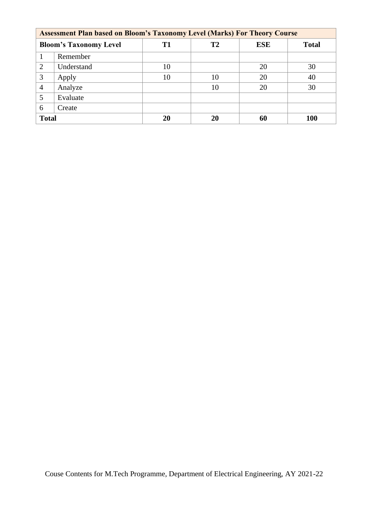|                | <b>Assessment Plan based on Bloom's Taxonomy Level (Marks) For Theory Course</b> |                |    |            |              |  |  |
|----------------|----------------------------------------------------------------------------------|----------------|----|------------|--------------|--|--|
|                | <b>Bloom's Taxonomy Level</b>                                                    | T <sub>1</sub> | T2 | <b>ESE</b> | <b>Total</b> |  |  |
|                | Remember                                                                         |                |    |            |              |  |  |
| $\overline{2}$ | Understand                                                                       | 10             |    | 20         | 30           |  |  |
| 3              | Apply                                                                            | 10             | 10 | 20         | 40           |  |  |
| $\overline{4}$ | Analyze                                                                          |                | 10 | 20         | 30           |  |  |
| 5              | Evaluate                                                                         |                |    |            |              |  |  |
| 6              | Create                                                                           |                |    |            |              |  |  |
| <b>Total</b>   |                                                                                  | 20             | 20 | 60         | <b>100</b>   |  |  |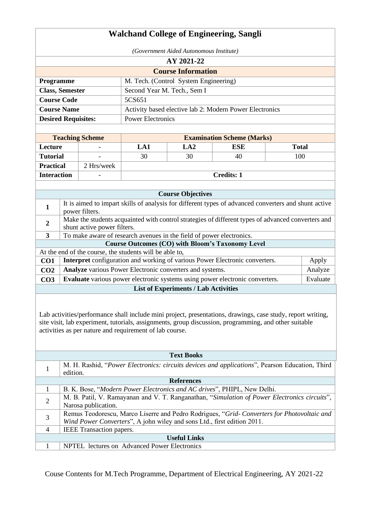# **Walchand College of Engineering, Sangli**

|                            | (Government Aided Autonomous Institute)                 |  |  |  |  |  |
|----------------------------|---------------------------------------------------------|--|--|--|--|--|
|                            | AY 2021-22                                              |  |  |  |  |  |
| <b>Course Information</b>  |                                                         |  |  |  |  |  |
| <b>Programme</b>           | M. Tech. (Control System Engineering)                   |  |  |  |  |  |
| <b>Class, Semester</b>     | Second Year M. Tech., Sem I                             |  |  |  |  |  |
| <b>Course Code</b>         | 5CS651                                                  |  |  |  |  |  |
| <b>Course Name</b>         | Activity based elective lab 2: Modern Power Electronics |  |  |  |  |  |
| <b>Desired Requisites:</b> | <b>Power Electronics</b>                                |  |  |  |  |  |

| <b>Teaching Scheme</b> |                          |            |     | <b>Examination Scheme (Marks)</b> |       |
|------------------------|--------------------------|------------|-----|-----------------------------------|-------|
| Lecture                | $\overline{\phantom{0}}$ | LA 1       | LA2 | ESE                               | Total |
| <b>Tutorial</b>        | $\overline{\phantom{0}}$ | 30         | 30  | 40                                | 100   |
| <b>Practical</b>       | 2 Hrs/week               |            |     |                                   |       |
| <b>Interaction</b>     | -                        | Credits: 1 |     |                                   |       |

|                                             | <b>Course Objectives</b>                                                                                                          |          |  |  |  |  |  |
|---------------------------------------------|-----------------------------------------------------------------------------------------------------------------------------------|----------|--|--|--|--|--|
| 1                                           | It is aimed to impart skills of analysis for different types of advanced converters and shunt active<br>power filters.            |          |  |  |  |  |  |
| $\overline{2}$                              | Make the students acquainted with control strategies of different types of advanced converters and<br>shunt active power filters. |          |  |  |  |  |  |
| 3                                           | To make aware of research avenues in the field of power electronics.                                                              |          |  |  |  |  |  |
|                                             | Course Outcomes (CO) with Bloom's Taxonomy Level                                                                                  |          |  |  |  |  |  |
|                                             | At the end of the course, the students will be able to,                                                                           |          |  |  |  |  |  |
| CO <sub>1</sub>                             | Interpret configuration and working of various Power Electronic converters.                                                       | Apply    |  |  |  |  |  |
| CO <sub>2</sub>                             | <b>Analyze</b> various Power Electronic converters and systems.                                                                   | Analyze  |  |  |  |  |  |
| CO <sub>3</sub>                             | <b>Evaluate</b> various power electronic systems using power electronic converters.                                               | Evaluate |  |  |  |  |  |
| <b>List of Experiments / Lab Activities</b> |                                                                                                                                   |          |  |  |  |  |  |

Lab activities/performance shall include mini project, presentations, drawings, case study, report writing, site visit, lab experiment, tutorials, assignments, group discussion, programming, and other suitable activities as per nature and requirement of lab course.

|                | <b>Text Books</b>                                                                                          |  |  |  |  |  |
|----------------|------------------------------------------------------------------------------------------------------------|--|--|--|--|--|
|                | M. H. Rashid, "Power Electronics: circuits devices and applications", Pearson Education, Third<br>edition. |  |  |  |  |  |
|                | <b>References</b>                                                                                          |  |  |  |  |  |
|                | B. K. Bose, "Modern Power Electronics and AC drives", PHIPL, New Delhi.                                    |  |  |  |  |  |
| $\overline{2}$ | M. B. Patil, V. Ramayanan and V. T. Ranganathan, "Simulation of Power Electronics circuits",               |  |  |  |  |  |
|                | Narosa publication.                                                                                        |  |  |  |  |  |
| 3              | Remus Teodorescu, Marco Liserre and Pedro Rodrigues, "Grid-Converters for Photovoltaic and                 |  |  |  |  |  |
|                | Wind Power Converters", A john wiley and sons Ltd., first edition 2011.                                    |  |  |  |  |  |
| $\overline{4}$ | IEEE Transaction papers.                                                                                   |  |  |  |  |  |
|                | <b>Useful Links</b>                                                                                        |  |  |  |  |  |
|                | NPTEL lectures on Advanced Power Electronics                                                               |  |  |  |  |  |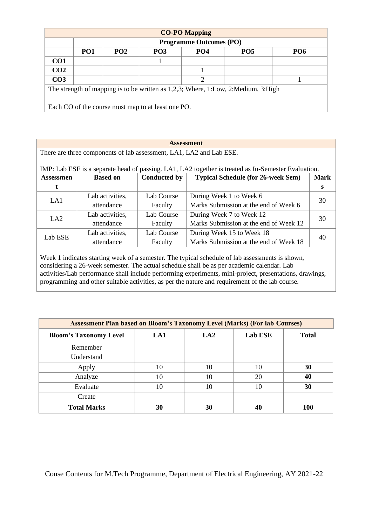|                                                                                   | <b>CO-PO Mapping</b> |                 |                                                    |                                |                 |                 |  |
|-----------------------------------------------------------------------------------|----------------------|-----------------|----------------------------------------------------|--------------------------------|-----------------|-----------------|--|
|                                                                                   |                      |                 |                                                    | <b>Programme Outcomes (PO)</b> |                 |                 |  |
|                                                                                   | PO <sub>1</sub>      | PO <sub>2</sub> | PO <sub>3</sub>                                    | PO4                            | PO <sub>5</sub> | PO <sub>6</sub> |  |
| CO <sub>1</sub>                                                                   |                      |                 |                                                    |                                |                 |                 |  |
| CO <sub>2</sub>                                                                   |                      |                 |                                                    |                                |                 |                 |  |
| CO <sub>3</sub>                                                                   |                      |                 |                                                    | $\overline{2}$                 |                 |                 |  |
| The strength of mapping is to be written as 1,2,3; Where, 1:Low, 2:Medium, 3:High |                      |                 |                                                    |                                |                 |                 |  |
|                                                                                   |                      |                 |                                                    |                                |                 |                 |  |
|                                                                                   |                      |                 | Each CO of the course must map to at least one PO. |                                |                 |                 |  |

There are three components of lab assessment, LA1, LA2 and Lab ESE.

| IMP: Lab ESE is a separate head of passing. LA1, LA2 together is treated as In-Semester Evaluation. |
|-----------------------------------------------------------------------------------------------------|
|-----------------------------------------------------------------------------------------------------|

| <b>Assessmen</b> | <b>Based on</b> | <b>Conducted by</b> | <b>Typical Schedule (for 26-week Sem)</b> | <b>Mark</b> |  |
|------------------|-----------------|---------------------|-------------------------------------------|-------------|--|
|                  |                 |                     |                                           | s           |  |
| LA1              | Lab activities, | Lab Course          | During Week 1 to Week 6                   | 30          |  |
|                  | attendance      | Faculty             | Marks Submission at the end of Week 6     |             |  |
| LA2              | Lab activities, | Lab Course          | During Week 7 to Week 12                  |             |  |
|                  | attendance      | Faculty             | Marks Submission at the end of Week 12    | 30          |  |
| Lab ESE          | Lab activities, | Lab Course          | During Week 15 to Week 18                 | 40          |  |
|                  | attendance      | Faculty             | Marks Submission at the end of Week 18    |             |  |

Week 1 indicates starting week of a semester. The typical schedule of lab assessments is shown, considering a 26-week semester. The actual schedule shall be as per academic calendar. Lab activities/Lab performance shall include performing experiments, mini-project, presentations, drawings, programming and other suitable activities, as per the nature and requirement of the lab course.

| <b>Assessment Plan based on Bloom's Taxonomy Level (Marks) (For lab Courses)</b> |     |                 |                |              |  |  |  |
|----------------------------------------------------------------------------------|-----|-----------------|----------------|--------------|--|--|--|
| <b>Bloom's Taxonomy Level</b>                                                    | LA1 | LA <sub>2</sub> | <b>Lab ESE</b> | <b>Total</b> |  |  |  |
| Remember                                                                         |     |                 |                |              |  |  |  |
| Understand                                                                       |     |                 |                |              |  |  |  |
| Apply                                                                            | 10  | 10              | 10             | 30           |  |  |  |
| Analyze                                                                          | 10  | 10              | 20             | 40           |  |  |  |
| Evaluate                                                                         | 10  | 10              | 10             | 30           |  |  |  |
| Create                                                                           |     |                 |                |              |  |  |  |
| <b>Total Marks</b>                                                               | 30  | 30              | 40             | 100          |  |  |  |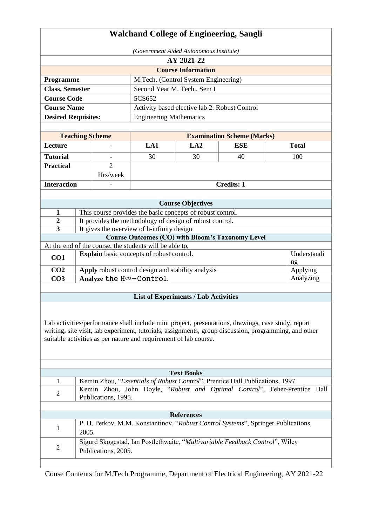| <b>Walchand College of Engineering, Sangli</b>                                                                                                                                                                                                                                  |       |                          |                                                         |                                                                                                                        |                                   |                                                                                   |  |
|---------------------------------------------------------------------------------------------------------------------------------------------------------------------------------------------------------------------------------------------------------------------------------|-------|--------------------------|---------------------------------------------------------|------------------------------------------------------------------------------------------------------------------------|-----------------------------------|-----------------------------------------------------------------------------------|--|
| (Government Aided Autonomous Institute)                                                                                                                                                                                                                                         |       |                          |                                                         |                                                                                                                        |                                   |                                                                                   |  |
| AY 2021-22                                                                                                                                                                                                                                                                      |       |                          |                                                         |                                                                                                                        |                                   |                                                                                   |  |
|                                                                                                                                                                                                                                                                                 |       |                          |                                                         | <b>Course Information</b>                                                                                              |                                   |                                                                                   |  |
| Programme                                                                                                                                                                                                                                                                       |       |                          |                                                         | M.Tech. (Control System Engineering)                                                                                   |                                   |                                                                                   |  |
| <b>Class, Semester</b>                                                                                                                                                                                                                                                          |       |                          |                                                         | Second Year M. Tech., Sem I                                                                                            |                                   |                                                                                   |  |
| <b>Course Code</b>                                                                                                                                                                                                                                                              |       |                          | 5CS652                                                  |                                                                                                                        |                                   |                                                                                   |  |
| <b>Course Name</b><br>Activity based elective lab 2: Robust Control                                                                                                                                                                                                             |       |                          |                                                         |                                                                                                                        |                                   |                                                                                   |  |
| <b>Desired Requisites:</b>                                                                                                                                                                                                                                                      |       |                          | <b>Engineering Mathematics</b>                          |                                                                                                                        |                                   |                                                                                   |  |
|                                                                                                                                                                                                                                                                                 |       |                          |                                                         |                                                                                                                        |                                   |                                                                                   |  |
|                                                                                                                                                                                                                                                                                 |       | <b>Teaching Scheme</b>   |                                                         |                                                                                                                        | <b>Examination Scheme (Marks)</b> |                                                                                   |  |
| Lecture                                                                                                                                                                                                                                                                         |       |                          | LA1                                                     | LA2                                                                                                                    | <b>ESE</b>                        | <b>Total</b>                                                                      |  |
| <b>Tutorial</b>                                                                                                                                                                                                                                                                 |       | $\overline{\phantom{a}}$ | 30                                                      | 30                                                                                                                     | 40                                | 100                                                                               |  |
| <b>Practical</b>                                                                                                                                                                                                                                                                |       | $\overline{2}$           |                                                         |                                                                                                                        |                                   |                                                                                   |  |
|                                                                                                                                                                                                                                                                                 |       | Hrs/week                 |                                                         |                                                                                                                        |                                   |                                                                                   |  |
| <b>Interaction</b>                                                                                                                                                                                                                                                              |       |                          |                                                         |                                                                                                                        | <b>Credits: 1</b>                 |                                                                                   |  |
|                                                                                                                                                                                                                                                                                 |       |                          |                                                         |                                                                                                                        |                                   |                                                                                   |  |
|                                                                                                                                                                                                                                                                                 |       |                          |                                                         | <b>Course Objectives</b>                                                                                               |                                   |                                                                                   |  |
| 1                                                                                                                                                                                                                                                                               |       |                          |                                                         | This course provides the basic concepts of robust control.<br>It provides the methodology of design of robust control. |                                   |                                                                                   |  |
| $\boldsymbol{2}$<br>3                                                                                                                                                                                                                                                           |       |                          | It gives the overview of h-infinity design              |                                                                                                                        |                                   |                                                                                   |  |
|                                                                                                                                                                                                                                                                                 |       |                          |                                                         | <b>Course Outcomes (CO) with Bloom's Taxonomy Level</b>                                                                |                                   |                                                                                   |  |
|                                                                                                                                                                                                                                                                                 |       |                          | At the end of the course, the students will be able to, |                                                                                                                        |                                   |                                                                                   |  |
| CO1                                                                                                                                                                                                                                                                             |       |                          | <b>Explain</b> basic concepts of robust control.        |                                                                                                                        |                                   | Understandi<br>ng                                                                 |  |
| CO <sub>2</sub>                                                                                                                                                                                                                                                                 |       |                          | Apply robust control design and stability analysis      |                                                                                                                        |                                   | Applying                                                                          |  |
| CO <sub>3</sub>                                                                                                                                                                                                                                                                 |       |                          | Analyze the $H^{\infty}-Control$ .                      |                                                                                                                        |                                   | Analyzing                                                                         |  |
|                                                                                                                                                                                                                                                                                 |       |                          |                                                         |                                                                                                                        |                                   |                                                                                   |  |
|                                                                                                                                                                                                                                                                                 |       |                          |                                                         | <b>List of Experiments / Lab Activities</b>                                                                            |                                   |                                                                                   |  |
| Lab activities/performance shall include mini project, presentations, drawings, case study, report<br>writing, site visit, lab experiment, tutorials, assignments, group discussion, programming, and other<br>suitable activities as per nature and requirement of lab course. |       |                          |                                                         |                                                                                                                        |                                   |                                                                                   |  |
|                                                                                                                                                                                                                                                                                 |       |                          |                                                         | <b>Text Books</b>                                                                                                      |                                   |                                                                                   |  |
| 1                                                                                                                                                                                                                                                                               |       |                          |                                                         | Kemin Zhou, "Essentials of Robust Control", Prentice Hall Publications, 1997.                                          |                                   | Kemin Zhou, John Doyle, "Robust and Optimal Control", Feher-Prentice Hall         |  |
| $\mathfrak{2}$                                                                                                                                                                                                                                                                  |       | Publications, 1995.      |                                                         |                                                                                                                        |                                   |                                                                                   |  |
|                                                                                                                                                                                                                                                                                 |       |                          |                                                         |                                                                                                                        |                                   |                                                                                   |  |
|                                                                                                                                                                                                                                                                                 |       |                          |                                                         | <b>References</b>                                                                                                      |                                   | P. H. Petkov, M.M. Konstantinov, "Robust Control Systems", Springer Publications, |  |
| 1                                                                                                                                                                                                                                                                               | 2005. |                          |                                                         |                                                                                                                        |                                   |                                                                                   |  |
| $\overline{2}$                                                                                                                                                                                                                                                                  |       | Publications, 2005.      |                                                         | Sigurd Skogestad, Ian Postlethwaite, "Multivariable Feedback Control", Wiley                                           |                                   |                                                                                   |  |
|                                                                                                                                                                                                                                                                                 |       |                          |                                                         |                                                                                                                        |                                   |                                                                                   |  |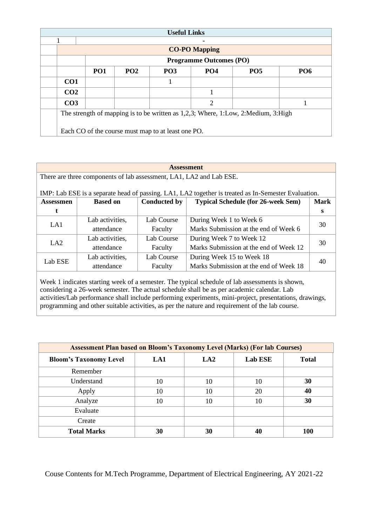| <b>Useful Links</b>                                                               |                                                                                            |  |                                                    |   |  |  |  |  |
|-----------------------------------------------------------------------------------|--------------------------------------------------------------------------------------------|--|----------------------------------------------------|---|--|--|--|--|
|                                                                                   |                                                                                            |  |                                                    |   |  |  |  |  |
|                                                                                   | <b>CO-PO Mapping</b>                                                                       |  |                                                    |   |  |  |  |  |
|                                                                                   | <b>Programme Outcomes (PO)</b>                                                             |  |                                                    |   |  |  |  |  |
|                                                                                   | <b>PO1</b><br>PO <sub>2</sub><br>PO <sub>4</sub><br><b>PO5</b><br><b>PO6</b><br><b>PO3</b> |  |                                                    |   |  |  |  |  |
| CO <sub>1</sub>                                                                   |                                                                                            |  |                                                    |   |  |  |  |  |
| CO <sub>2</sub>                                                                   |                                                                                            |  |                                                    |   |  |  |  |  |
| CO <sub>3</sub>                                                                   |                                                                                            |  |                                                    | 2 |  |  |  |  |
| The strength of mapping is to be written as 1,2,3; Where, 1:Low, 2:Medium, 3:High |                                                                                            |  |                                                    |   |  |  |  |  |
|                                                                                   |                                                                                            |  | Each CO of the course must map to at least one PO. |   |  |  |  |  |

#### **Assessment**

There are three components of lab assessment, LA1, LA2 and Lab ESE.

## IMP: Lab ESE is a separate head of passing. LA1, LA2 together is treated as In-Semester Evaluation.

| Assessmen | <b>Based on</b>               | <b>Conducted by</b> | <b>Typical Schedule (for 26-week Sem)</b> | <b>Mark</b> |  |
|-----------|-------------------------------|---------------------|-------------------------------------------|-------------|--|
|           |                               |                     |                                           | S           |  |
| LA1       | Lab activities,<br>Lab Course |                     | During Week 1 to Week 6                   | 30          |  |
|           | attendance                    | Faculty             | Marks Submission at the end of Week 6     |             |  |
| LA2       | Lab activities,               | Lab Course          | During Week 7 to Week 12                  | 30          |  |
|           | attendance                    | Faculty             | Marks Submission at the end of Week 12    |             |  |
| Lab ESE   | Lab activities,               | Lab Course          | During Week 15 to Week 18                 |             |  |
|           | attendance                    | Faculty             | Marks Submission at the end of Week 18    | 40          |  |

Week 1 indicates starting week of a semester. The typical schedule of lab assessments is shown, considering a 26-week semester. The actual schedule shall be as per academic calendar. Lab activities/Lab performance shall include performing experiments, mini-project, presentations, drawings, programming and other suitable activities, as per the nature and requirement of the lab course.

| <b>Assessment Plan based on Bloom's Taxonomy Level (Marks) (For lab Courses)</b> |     |                 |                |              |  |  |  |
|----------------------------------------------------------------------------------|-----|-----------------|----------------|--------------|--|--|--|
| <b>Bloom's Taxonomy Level</b>                                                    | LA1 | LA <sub>2</sub> | <b>Lab ESE</b> | <b>Total</b> |  |  |  |
| Remember                                                                         |     |                 |                |              |  |  |  |
| Understand                                                                       | 10  | 10              | 10             | 30           |  |  |  |
| Apply                                                                            | 10  | 10              | 20             | 40           |  |  |  |
| Analyze                                                                          | 10  | 10              | 10             | 30           |  |  |  |
| Evaluate                                                                         |     |                 |                |              |  |  |  |
| Create                                                                           |     |                 |                |              |  |  |  |
| <b>Total Marks</b>                                                               | 30  | 30              |                | 100          |  |  |  |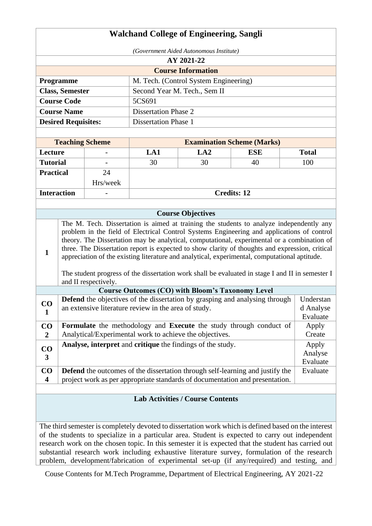| <i>(Government Aided Autonomous Institute)</i>            |  |  |  |  |  |
|-----------------------------------------------------------|--|--|--|--|--|
| AY 2021-22                                                |  |  |  |  |  |
| <b>Course Information</b>                                 |  |  |  |  |  |
| M. Tech. (Control System Engineering)                     |  |  |  |  |  |
| Second Year M. Tech., Sem II                              |  |  |  |  |  |
| 5CS691                                                    |  |  |  |  |  |
| <b>Course Name</b><br><b>Dissertation Phase 2</b>         |  |  |  |  |  |
| <b>Desired Requisites:</b><br><b>Dissertation Phase 1</b> |  |  |  |  |  |
|                                                           |  |  |  |  |  |

| <b>Teaching Scheme</b> |                          | <b>Examination Scheme (Marks)</b> |            |            |              |  |  |  |
|------------------------|--------------------------|-----------------------------------|------------|------------|--------------|--|--|--|
| Lecture                | $\overline{\phantom{0}}$ | LA1                               | <b>LA2</b> | <b>ESE</b> | <b>Total</b> |  |  |  |
| <b>Tutorial</b>        | $\overline{\phantom{0}}$ | 30                                | 30         | 40         | 100          |  |  |  |
| <b>Practical</b>       | 24                       |                                   |            |            |              |  |  |  |
|                        | Hrs/week                 |                                   |            |            |              |  |  |  |
| <b>Interaction</b>     | $\overline{\phantom{0}}$ | <b>Credits: 12</b>                |            |            |              |  |  |  |

## **Course Objectives 1** The M. Tech. Dissertation is aimed at training the students to analyze independently any problem in the field of Electrical Control Systems Engineering and applications of control theory. The Dissertation may be analytical, computational, experimental or a combination of three. The Dissertation report is expected to show clarity of thoughts and expression, critical appreciation of the existing literature and analytical, experimental, computational aptitude. The student progress of the dissertation work shall be evaluated in stage I and II in semester I and II respectively

|                               | <b>Course Outcomes (CO) with Bloom's Taxonomy Level</b>                                                                                     |                              |  |  |  |  |  |
|-------------------------------|---------------------------------------------------------------------------------------------------------------------------------------------|------------------------------|--|--|--|--|--|
| CO                            | Defend the objectives of the dissertation by grasping and analysing through<br>an extensive literature review in the area of study.         | Understan<br>d Analyse       |  |  |  |  |  |
| 1                             |                                                                                                                                             | Evaluate                     |  |  |  |  |  |
| CO<br>$\overline{2}$          | <b>Formulate</b> the methodology and <b>Execute</b> the study through conduct of<br>Analytical/Experimental work to achieve the objectives. | Apply<br>Create              |  |  |  |  |  |
| CO<br>$\overline{\mathbf{3}}$ | <b>Analyse, interpret</b> and <b>critique</b> the findings of the study.                                                                    | Apply<br>Analyse<br>Evaluate |  |  |  |  |  |
| CO                            | <b>Defend</b> the outcomes of the dissertation through self-learning and justify the                                                        | Evaluate                     |  |  |  |  |  |
| 4                             | project work as per appropriate standards of documentation and presentation.                                                                |                              |  |  |  |  |  |

# **Lab Activities / Course Contents**

The third semester is completely devoted to dissertation work which is defined based on the interest of the students to specialize in a particular area. Student is expected to carry out independent research work on the chosen topic. In this semester it is expected that the student has carried out substantial research work including exhaustive literature survey, formulation of the research problem, development/fabrication of experimental set-up (if any/required) and testing, and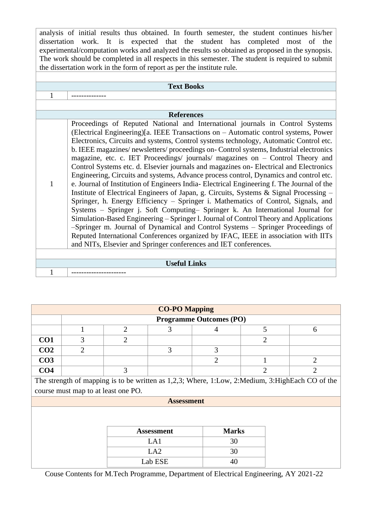analysis of initial results thus obtained. In fourth semester, the student continues his/her dissertation work. It is expected that the student has completed most of the experimental/computation works and analyzed the results so obtained as proposed in the synopsis. The work should be completed in all respects in this semester. The student is required to submit the dissertation work in the form of report as per the institute rule.

| <b>Text Books</b> |                                                                                                                                                                                                                                                                                                                                                                                                                                                                                                                                                                                                                                                                                                                                                                                                                                                                                                                                                                                                                                                                                                                                                                                                                                                                                                                                 |  |  |  |  |  |
|-------------------|---------------------------------------------------------------------------------------------------------------------------------------------------------------------------------------------------------------------------------------------------------------------------------------------------------------------------------------------------------------------------------------------------------------------------------------------------------------------------------------------------------------------------------------------------------------------------------------------------------------------------------------------------------------------------------------------------------------------------------------------------------------------------------------------------------------------------------------------------------------------------------------------------------------------------------------------------------------------------------------------------------------------------------------------------------------------------------------------------------------------------------------------------------------------------------------------------------------------------------------------------------------------------------------------------------------------------------|--|--|--|--|--|
|                   |                                                                                                                                                                                                                                                                                                                                                                                                                                                                                                                                                                                                                                                                                                                                                                                                                                                                                                                                                                                                                                                                                                                                                                                                                                                                                                                                 |  |  |  |  |  |
|                   |                                                                                                                                                                                                                                                                                                                                                                                                                                                                                                                                                                                                                                                                                                                                                                                                                                                                                                                                                                                                                                                                                                                                                                                                                                                                                                                                 |  |  |  |  |  |
|                   | <b>References</b>                                                                                                                                                                                                                                                                                                                                                                                                                                                                                                                                                                                                                                                                                                                                                                                                                                                                                                                                                                                                                                                                                                                                                                                                                                                                                                               |  |  |  |  |  |
|                   | Proceedings of Reputed National and International journals in Control Systems<br>(Electrical Engineering)[a. IEEE Transactions on – Automatic control systems, Power<br>Electronics, Circuits and systems, Control systems technology, Automatic Control etc.<br>b. IEEE magazines/newsletters/proceedings on- Control systems, Industrial electronics<br>magazine, etc. c. IET Proceedings/ journals/ magazines on - Control Theory and<br>Control Systems etc. d. Elsevier journals and magazines on- Electrical and Electronics<br>Engineering, Circuits and systems, Advance process control, Dynamics and control etc.<br>e. Journal of Institution of Engineers India-Electrical Engineering f. The Journal of the<br>Institute of Electrical Engineers of Japan, g. Circuits, Systems & Signal Processing –<br>Springer, h. Energy Efficiency - Springer i. Mathematics of Control, Signals, and<br>Systems - Springer j. Soft Computing- Springer k. An International Journal for<br>Simulation-Based Engineering – Springer I. Journal of Control Theory and Applications<br>-Springer m. Journal of Dynamical and Control Systems - Springer Proceedings of<br>Reputed International Conferences organized by IFAC, IEEE in association with IITs<br>and NITs, Elsevier and Springer conferences and IET conferences. |  |  |  |  |  |
|                   |                                                                                                                                                                                                                                                                                                                                                                                                                                                                                                                                                                                                                                                                                                                                                                                                                                                                                                                                                                                                                                                                                                                                                                                                                                                                                                                                 |  |  |  |  |  |
|                   | <b>Useful Links</b>                                                                                                                                                                                                                                                                                                                                                                                                                                                                                                                                                                                                                                                                                                                                                                                                                                                                                                                                                                                                                                                                                                                                                                                                                                                                                                             |  |  |  |  |  |
|                   |                                                                                                                                                                                                                                                                                                                                                                                                                                                                                                                                                                                                                                                                                                                                                                                                                                                                                                                                                                                                                                                                                                                                                                                                                                                                                                                                 |  |  |  |  |  |

| <b>CO-PO Mapping</b> |                                |  |  |  |  |  |  |  |
|----------------------|--------------------------------|--|--|--|--|--|--|--|
|                      | <b>Programme Outcomes (PO)</b> |  |  |  |  |  |  |  |
|                      |                                |  |  |  |  |  |  |  |
| CO <sub>1</sub>      |                                |  |  |  |  |  |  |  |
| CO <sub>2</sub>      |                                |  |  |  |  |  |  |  |
| CO <sub>3</sub>      |                                |  |  |  |  |  |  |  |
| CO4                  |                                |  |  |  |  |  |  |  |

The strength of mapping is to be written as 1,2,3; Where, 1:Low, 2:Medium, 3:HighEach CO of the course must map to at least one PO.

#### **Assessment**

| <b>Assessment</b> | <b>Marks</b> |
|-------------------|--------------|
| LA1               | 30           |
| L A               | 30           |
| Lab ESE           |              |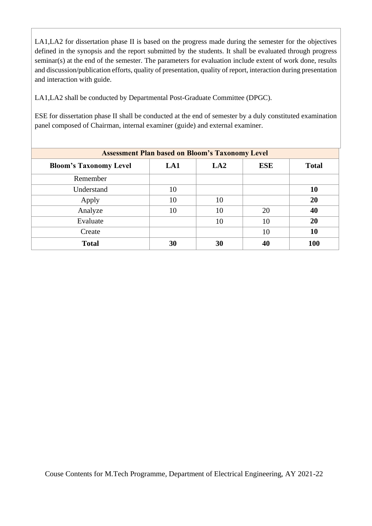LA1,LA2 for dissertation phase II is based on the progress made during the semester for the objectives defined in the synopsis and the report submitted by the students. It shall be evaluated through progress seminar(s) at the end of the semester. The parameters for evaluation include extent of work done, results and discussion/publication efforts, quality of presentation, quality of report, interaction during presentation and interaction with guide.

LA1,LA2 shall be conducted by Departmental Post-Graduate Committee (DPGC).

ESE for dissertation phase II shall be conducted at the end of semester by a duly constituted examination panel composed of Chairman, internal examiner (guide) and external examiner.

| <b>Assessment Plan based on Bloom's Taxonomy Level</b> |     |     |            |              |  |  |
|--------------------------------------------------------|-----|-----|------------|--------------|--|--|
| <b>Bloom's Taxonomy Level</b>                          | LA1 | LA2 | <b>ESE</b> | <b>Total</b> |  |  |
| Remember                                               |     |     |            |              |  |  |
| Understand                                             | 10  |     |            | 10           |  |  |
| Apply                                                  | 10  | 10  |            | 20           |  |  |
| Analyze                                                | 10  | 10  | 20         | 40           |  |  |
| Evaluate                                               |     | 10  | 10         | 20           |  |  |
| Create                                                 |     |     | 10         | 10           |  |  |
| <b>Total</b>                                           | 30  | 30  | 40         | <b>100</b>   |  |  |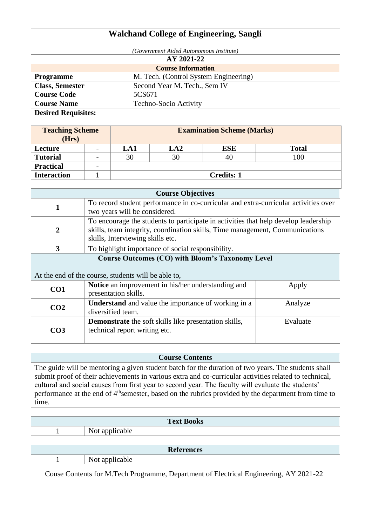# **Walchand College of Engineering, Sangli**

| (Government Aided Autonomous Institute) |                                       |  |  |  |  |
|-----------------------------------------|---------------------------------------|--|--|--|--|
|                                         | AY 2021-22                            |  |  |  |  |
|                                         | <b>Course Information</b>             |  |  |  |  |
| <b>Programme</b>                        | M. Tech. (Control System Engineering) |  |  |  |  |
| <b>Class, Semester</b>                  | Second Year M. Tech., Sem IV          |  |  |  |  |
| <b>Course Code</b>                      | 5CS671                                |  |  |  |  |
| <b>Course Name</b>                      | Techno-Socio Activity                 |  |  |  |  |
| <b>Desired Requisites:</b>              |                                       |  |  |  |  |

| <b>Teaching Scheme</b><br>(Hrs) | <b>Examination Scheme (Marks)</b> |     |     |              |  |  |
|---------------------------------|-----------------------------------|-----|-----|--------------|--|--|
| Lecture                         | LA1                               | LA2 | ESE | <b>Total</b> |  |  |
| <b>Tutorial</b>                 | 30                                | 30  | 40  | 100          |  |  |
| <b>Practical</b>                |                                   |     |     |              |  |  |
| <b>Interaction</b>              | <b>Credits: 1</b>                 |     |     |              |  |  |

| <b>Course Objectives</b> |                                                                                                                                                                                                         |  |  |  |  |  |
|--------------------------|---------------------------------------------------------------------------------------------------------------------------------------------------------------------------------------------------------|--|--|--|--|--|
|                          | To record student performance in co-curricular and extra-curricular activities over<br>two years will be considered.                                                                                    |  |  |  |  |  |
| 2                        | To encourage the students to participate in activities that help develop leadership<br>skills, team integrity, coordination skills, Time management, Communications<br>skills, Interviewing skills etc. |  |  |  |  |  |
|                          | To highlight importance of social responsibility.                                                                                                                                                       |  |  |  |  |  |
|                          | $\alpha$ $(\alpha \alpha)$ $\alpha$ $\alpha$<br>$\blacksquare$                                                                                                                                          |  |  |  |  |  |

# **Course Outcomes (CO) with Bloom's Taxonomy Level**

At the end of the course, students will be able to,

| CO <sub>1</sub> | Notice an improvement in his/her understanding and<br>presentation skills.                    | Apply    |
|-----------------|-----------------------------------------------------------------------------------------------|----------|
| CO <sub>2</sub> | <b>Understand</b> and value the importance of working in a<br>diversified team.               | Analyze  |
| CO <sub>3</sub> | <b>Demonstrate</b> the soft skills like presentation skills,<br>technical report writing etc. | Evaluate |

## **Course Contents**

The guide will be mentoring a given student batch for the duration of two years. The students shall submit proof of their achievements in various extra and co-curricular activities related to technical, cultural and social causes from first year to second year. The faculty will evaluate the students' performance at the end of 4<sup>th</sup>semester, based on the rubrics provided by the department from time to time.

| <b>Text Books</b> |                |  |  |  |  |  |
|-------------------|----------------|--|--|--|--|--|
|                   | Not applicable |  |  |  |  |  |
|                   |                |  |  |  |  |  |
| <b>References</b> |                |  |  |  |  |  |
|                   | Not applicable |  |  |  |  |  |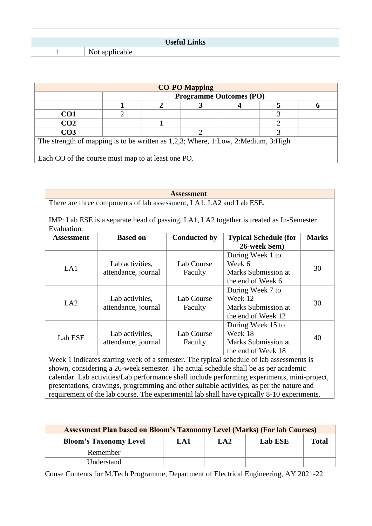| <b>Useful Links</b> |
|---------------------|
| Not applicable      |

| <b>CO-PO Mapping</b>                                                              |                                |  |  |  |  |  |  |  |
|-----------------------------------------------------------------------------------|--------------------------------|--|--|--|--|--|--|--|
|                                                                                   | <b>Programme Outcomes (PO)</b> |  |  |  |  |  |  |  |
|                                                                                   |                                |  |  |  |  |  |  |  |
| CO <sub>1</sub>                                                                   |                                |  |  |  |  |  |  |  |
| CO <sub>2</sub>                                                                   |                                |  |  |  |  |  |  |  |
| CO <sub>3</sub>                                                                   |                                |  |  |  |  |  |  |  |
| The strength of mapping is to be written as 1,2,3; Where, 1:Low, 2:Medium, 3:High |                                |  |  |  |  |  |  |  |
|                                                                                   |                                |  |  |  |  |  |  |  |
| Each CO of the course must map to at least one PO.                                |                                |  |  |  |  |  |  |  |

**Assessment** There are three components of lab assessment, LA1, LA2 and Lab ESE. IMP: Lab ESE is a separate head of passing. LA1, LA2 together is treated as In-Semester Evaluation. **Assessment Based on Conducted by Typical Schedule (for 26-week Sem) Marks** LA1 Lab activities, attendance, journal Lab Course Faculty During Week 1 to Week 6 Marks Submission at 30

|         | attenualice, juurnal | acun y     | тиатку бионизмон ас                                                                          |    |
|---------|----------------------|------------|----------------------------------------------------------------------------------------------|----|
|         |                      |            | the end of Week 6                                                                            |    |
|         |                      |            | During Week 7 to                                                                             |    |
|         | Lab activities,      | Lab Course | Week 12                                                                                      |    |
| LA2     | attendance, journal  | Faculty    | Marks Submission at                                                                          | 30 |
|         |                      |            | the end of Week 12                                                                           |    |
|         |                      |            | During Week 15 to                                                                            |    |
|         | Lab activities,      | Lab Course | Week 18                                                                                      | 40 |
| Lab ESE | attendance, journal  | Faculty    | Marks Submission at                                                                          |    |
|         |                      |            | the end of Week 18                                                                           |    |
|         |                      |            | Week 1 indicates starting week of a semester. The typical schedule of lab assessments is     |    |
|         |                      |            | shown, considering a 26-week semester. The actual schedule shall be as per academic          |    |
|         |                      |            | calendar. Lab activities/Lab performance shall include performing experiments, mini-project, |    |
|         |                      |            | presentations, drawings, programming and other suitable activities, as per the nature and    |    |
|         |                      |            | requirement of the lab course. The experimental lab shall have typically 8-10 experiments.   |    |

| <b>Assessment Plan based on Bloom's Taxonomy Level (Marks) (For lab Courses)</b> |  |  |  |  |  |  |  |
|----------------------------------------------------------------------------------|--|--|--|--|--|--|--|
| <b>Total</b><br><b>Bloom's Taxonomy Level</b><br>Lab ESE<br>LA2<br>LA1           |  |  |  |  |  |  |  |
| Remember                                                                         |  |  |  |  |  |  |  |
| Understand                                                                       |  |  |  |  |  |  |  |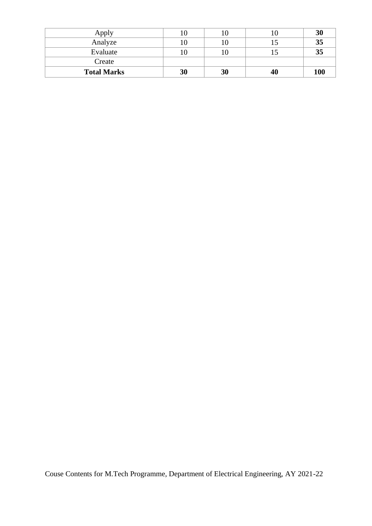| Apply              |    |    | 3 <sub>0</sub> |
|--------------------|----|----|----------------|
| Analyze            |    | 10 | 35             |
| Evaluate           |    |    | 35             |
| Create             |    |    |                |
| <b>Total Marks</b> | 30 | 30 | 100            |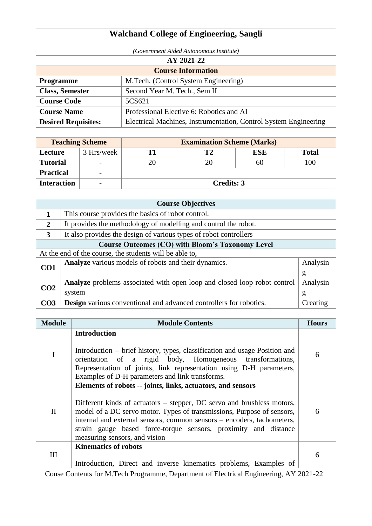|                         | <b>Walchand College of Engineering, Sangli</b> |                             |                                                                                                                                                  |                                   |                  |  |               |
|-------------------------|------------------------------------------------|-----------------------------|--------------------------------------------------------------------------------------------------------------------------------------------------|-----------------------------------|------------------|--|---------------|
|                         | (Government Aided Autonomous Institute)        |                             |                                                                                                                                                  |                                   |                  |  |               |
|                         |                                                |                             |                                                                                                                                                  | AY 2021-22                        |                  |  |               |
|                         |                                                |                             |                                                                                                                                                  | <b>Course Information</b>         |                  |  |               |
| Programme               |                                                |                             | M.Tech. (Control System Engineering)                                                                                                             |                                   |                  |  |               |
| <b>Class, Semester</b>  |                                                |                             | Second Year M. Tech., Sem II                                                                                                                     |                                   |                  |  |               |
| <b>Course Code</b>      |                                                |                             | 5CS621                                                                                                                                           |                                   |                  |  |               |
| <b>Course Name</b>      |                                                |                             | Professional Elective 6: Robotics and AI                                                                                                         |                                   |                  |  |               |
|                         |                                                | <b>Desired Requisites:</b>  | Electrical Machines, Instrumentation, Control System Engineering                                                                                 |                                   |                  |  |               |
|                         |                                                | <b>Teaching Scheme</b>      |                                                                                                                                                  | <b>Examination Scheme (Marks)</b> |                  |  |               |
| Lecture                 |                                                | 3 Hrs/week                  | <b>T1</b>                                                                                                                                        | <b>T2</b>                         | <b>ESE</b>       |  | <b>Total</b>  |
| <b>Tutorial</b>         |                                                |                             | 20                                                                                                                                               | 20                                | 60               |  | 100           |
| <b>Practical</b>        |                                                |                             |                                                                                                                                                  |                                   |                  |  |               |
| <b>Interaction</b>      |                                                |                             |                                                                                                                                                  | <b>Credits: 3</b>                 |                  |  |               |
|                         |                                                |                             |                                                                                                                                                  |                                   |                  |  |               |
|                         |                                                |                             |                                                                                                                                                  | <b>Course Objectives</b>          |                  |  |               |
| 1                       |                                                |                             | This course provides the basics of robot control.                                                                                                |                                   |                  |  |               |
| $\overline{2}$          |                                                |                             | It provides the methodology of modelling and control the robot.                                                                                  |                                   |                  |  |               |
| $\overline{\mathbf{3}}$ |                                                |                             | It also provides the design of various types of robot controllers                                                                                |                                   |                  |  |               |
|                         |                                                |                             | <b>Course Outcomes (CO) with Bloom's Taxonomy Level</b>                                                                                          |                                   |                  |  |               |
|                         |                                                |                             | At the end of the course, the students will be able to,                                                                                          |                                   |                  |  |               |
| CO1                     |                                                |                             | Analyze various models of robots and their dynamics.                                                                                             |                                   |                  |  | Analysin      |
|                         |                                                |                             |                                                                                                                                                  |                                   |                  |  | g             |
| CO <sub>2</sub>         | system                                         |                             | Analyze problems associated with open loop and closed loop robot control                                                                         |                                   |                  |  | Analysin      |
| CO <sub>3</sub>         |                                                |                             | Design various conventional and advanced controllers for robotics.                                                                               |                                   |                  |  | g<br>Creating |
|                         |                                                |                             |                                                                                                                                                  |                                   |                  |  |               |
| <b>Module</b>           |                                                |                             |                                                                                                                                                  | <b>Module Contents</b>            |                  |  | <b>Hours</b>  |
|                         |                                                | <b>Introduction</b>         |                                                                                                                                                  |                                   |                  |  |               |
|                         |                                                |                             |                                                                                                                                                  |                                   |                  |  |               |
| $\mathbf I$             |                                                | orientation                 | Introduction -- brief history, types, classification and usage Position and<br>of a rigid body, Homogeneous                                      |                                   | transformations, |  | 6             |
|                         |                                                |                             | Representation of joints, link representation using D-H parameters,                                                                              |                                   |                  |  |               |
|                         |                                                |                             | Examples of D-H parameters and link transforms.                                                                                                  |                                   |                  |  |               |
|                         |                                                |                             | Elements of robots -- joints, links, actuators, and sensors                                                                                      |                                   |                  |  |               |
|                         |                                                |                             |                                                                                                                                                  |                                   |                  |  |               |
| $\mathbf{I}$            |                                                |                             | Different kinds of actuators – stepper, DC servo and brushless motors,<br>model of a DC servo motor. Types of transmissions, Purpose of sensors, |                                   |                  |  | 6             |
|                         |                                                |                             | internal and external sensors, common sensors – encoders, tachometers,                                                                           |                                   |                  |  |               |
|                         |                                                |                             | strain gauge based force-torque sensors, proximity and distance                                                                                  |                                   |                  |  |               |
|                         |                                                |                             | measuring sensors, and vision                                                                                                                    |                                   |                  |  |               |
| III                     |                                                | <b>Kinematics of robots</b> |                                                                                                                                                  |                                   |                  |  | 6             |
|                         |                                                |                             | Introduction, Direct and inverse kinematics problems, Examples of                                                                                |                                   |                  |  |               |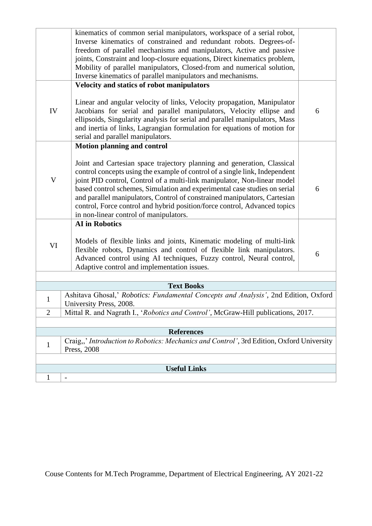|                | kinematics of common serial manipulators, workspace of a serial robot,<br>Inverse kinematics of constrained and redundant robots. Degrees-of-<br>freedom of parallel mechanisms and manipulators, Active and passive<br>joints, Constraint and loop-closure equations, Direct kinematics problem,<br>Mobility of parallel manipulators, Closed-from and numerical solution,<br>Inverse kinematics of parallel manipulators and mechanisms.                                                                          |   |  |  |  |  |
|----------------|---------------------------------------------------------------------------------------------------------------------------------------------------------------------------------------------------------------------------------------------------------------------------------------------------------------------------------------------------------------------------------------------------------------------------------------------------------------------------------------------------------------------|---|--|--|--|--|
|                | Velocity and statics of robot manipulators                                                                                                                                                                                                                                                                                                                                                                                                                                                                          |   |  |  |  |  |
| IV             | Linear and angular velocity of links, Velocity propagation, Manipulator<br>Jacobians for serial and parallel manipulators, Velocity ellipse and<br>ellipsoids, Singularity analysis for serial and parallel manipulators, Mass<br>and inertia of links, Lagrangian formulation for equations of motion for<br>serial and parallel manipulators.                                                                                                                                                                     | 6 |  |  |  |  |
|                | <b>Motion planning and control</b>                                                                                                                                                                                                                                                                                                                                                                                                                                                                                  |   |  |  |  |  |
| $\mathbf V$    | Joint and Cartesian space trajectory planning and generation, Classical<br>control concepts using the example of control of a single link, Independent<br>joint PID control, Control of a multi-link manipulator, Non-linear model<br>based control schemes, Simulation and experimental case studies on serial<br>and parallel manipulators, Control of constrained manipulators, Cartesian<br>control, Force control and hybrid position/force control, Advanced topics<br>in non-linear control of manipulators. | 6 |  |  |  |  |
|                | <b>AI</b> in Robotics                                                                                                                                                                                                                                                                                                                                                                                                                                                                                               |   |  |  |  |  |
| VI             | Models of flexible links and joints, Kinematic modeling of multi-link<br>flexible robots, Dynamics and control of flexible link manipulators.<br>Advanced control using AI techniques, Fuzzy control, Neural control,<br>Adaptive control and implementation issues.                                                                                                                                                                                                                                                | 6 |  |  |  |  |
|                |                                                                                                                                                                                                                                                                                                                                                                                                                                                                                                                     |   |  |  |  |  |
|                | <b>Text Books</b><br>Ashitava Ghosal,' Robotics: Fundamental Concepts and Analysis', 2nd Edition, Oxford                                                                                                                                                                                                                                                                                                                                                                                                            |   |  |  |  |  |
| $\mathbf{1}$   | University Press, 2008.                                                                                                                                                                                                                                                                                                                                                                                                                                                                                             |   |  |  |  |  |
| $\overline{2}$ | Mittal R. and Nagrath I., 'Robotics and Control', McGraw-Hill publications, 2017.                                                                                                                                                                                                                                                                                                                                                                                                                                   |   |  |  |  |  |
|                |                                                                                                                                                                                                                                                                                                                                                                                                                                                                                                                     |   |  |  |  |  |
|                | <b>References</b>                                                                                                                                                                                                                                                                                                                                                                                                                                                                                                   |   |  |  |  |  |
| $\mathbf{1}$   | Craig,,' Introduction to Robotics: Mechanics and Control', 3rd Edition, Oxford University<br>Press, 2008                                                                                                                                                                                                                                                                                                                                                                                                            |   |  |  |  |  |
|                |                                                                                                                                                                                                                                                                                                                                                                                                                                                                                                                     |   |  |  |  |  |
|                | <b>Useful Links</b>                                                                                                                                                                                                                                                                                                                                                                                                                                                                                                 |   |  |  |  |  |
| 1              | $\overline{a}$                                                                                                                                                                                                                                                                                                                                                                                                                                                                                                      |   |  |  |  |  |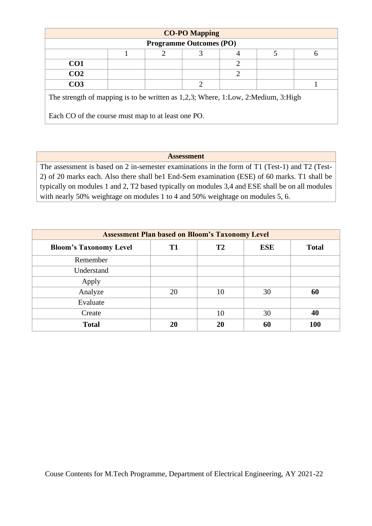| <b>CO-PO Mapping</b>                                                                           |  |   |                             |   |  |  |  |
|------------------------------------------------------------------------------------------------|--|---|-----------------------------|---|--|--|--|
| <b>Programme Outcomes (PO)</b>                                                                 |  |   |                             |   |  |  |  |
|                                                                                                |  | ာ |                             |   |  |  |  |
| CO <sub>1</sub>                                                                                |  |   |                             | ◠ |  |  |  |
| CO <sub>2</sub>                                                                                |  |   |                             | ↑ |  |  |  |
| CO <sub>3</sub>                                                                                |  |   | $\mathcal{D}_{\mathcal{L}}$ |   |  |  |  |
| The strength of mapping is to be written as $1,2,3$ ; Where, $1:Low$ , $2: Medium$ , $3: High$ |  |   |                             |   |  |  |  |
| Each CO of the course must map to at least one PO.                                             |  |   |                             |   |  |  |  |

# **Assessment**

The assessment is based on 2 in-semester examinations in the form of T1 (Test-1) and T2 (Test-2) of 20 marks each. Also there shall be1 End-Sem examination (ESE) of 60 marks. T1 shall be typically on modules 1 and 2, T2 based typically on modules 3,4 and ESE shall be on all modules with nearly 50% weightage on modules 1 to 4 and 50% weightage on modules 5, 6.

| <b>Assessment Plan based on Bloom's Taxonomy Level</b> |                |           |            |              |  |  |  |
|--------------------------------------------------------|----------------|-----------|------------|--------------|--|--|--|
| <b>Bloom's Taxonomy Level</b>                          | T <sub>1</sub> | <b>T2</b> | <b>ESE</b> | <b>Total</b> |  |  |  |
| Remember                                               |                |           |            |              |  |  |  |
| Understand                                             |                |           |            |              |  |  |  |
| Apply                                                  |                |           |            |              |  |  |  |
| Analyze                                                | 20             | 10        | 30         | 60           |  |  |  |
| Evaluate                                               |                |           |            |              |  |  |  |
| Create                                                 |                | 10        | 30         | 40           |  |  |  |
| <b>Total</b>                                           | 20             | 20        | 60         | <b>100</b>   |  |  |  |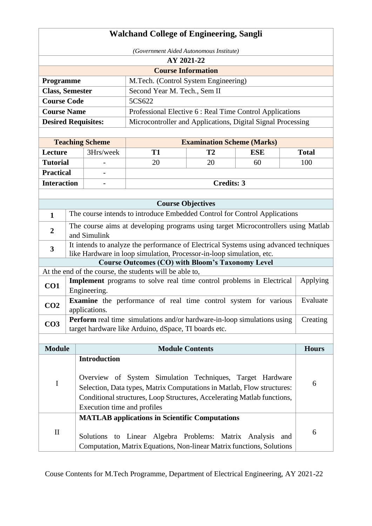| <b>Walchand College of Engineering, Sangli</b>                                                                                                                                |                                                      |                                                                                                                                                   |                                                                                   |                                   |            |              |  |  |
|-------------------------------------------------------------------------------------------------------------------------------------------------------------------------------|------------------------------------------------------|---------------------------------------------------------------------------------------------------------------------------------------------------|-----------------------------------------------------------------------------------|-----------------------------------|------------|--------------|--|--|
| (Government Aided Autonomous Institute)                                                                                                                                       |                                                      |                                                                                                                                                   |                                                                                   |                                   |            |              |  |  |
| AY 2021-22                                                                                                                                                                    |                                                      |                                                                                                                                                   |                                                                                   |                                   |            |              |  |  |
|                                                                                                                                                                               |                                                      |                                                                                                                                                   |                                                                                   | <b>Course Information</b>         |            |              |  |  |
| Programme                                                                                                                                                                     |                                                      |                                                                                                                                                   | M.Tech. (Control System Engineering)                                              |                                   |            |              |  |  |
| <b>Class, Semester</b>                                                                                                                                                        |                                                      |                                                                                                                                                   | Second Year M. Tech., Sem II                                                      |                                   |            |              |  |  |
| <b>Course Code</b>                                                                                                                                                            |                                                      |                                                                                                                                                   | 5CS622                                                                            |                                   |            |              |  |  |
| <b>Course Name</b>                                                                                                                                                            |                                                      | Professional Elective 6 : Real Time Control Applications                                                                                          |                                                                                   |                                   |            |              |  |  |
| <b>Desired Requisites:</b>                                                                                                                                                    |                                                      |                                                                                                                                                   | Microcontroller and Applications, Digital Signal Processing                       |                                   |            |              |  |  |
|                                                                                                                                                                               |                                                      |                                                                                                                                                   |                                                                                   |                                   |            |              |  |  |
|                                                                                                                                                                               |                                                      | <b>Teaching Scheme</b>                                                                                                                            |                                                                                   | <b>Examination Scheme (Marks)</b> |            |              |  |  |
| Lecture                                                                                                                                                                       |                                                      | 3Hrs/week                                                                                                                                         | <b>T1</b>                                                                         | T <sub>2</sub>                    | <b>ESE</b> | <b>Total</b> |  |  |
| <b>Tutorial</b>                                                                                                                                                               |                                                      |                                                                                                                                                   | 20                                                                                | 20                                | 60         | 100          |  |  |
| <b>Practical</b>                                                                                                                                                              |                                                      |                                                                                                                                                   |                                                                                   |                                   |            |              |  |  |
| <b>Interaction</b>                                                                                                                                                            |                                                      |                                                                                                                                                   |                                                                                   | <b>Credits: 3</b>                 |            |              |  |  |
|                                                                                                                                                                               |                                                      |                                                                                                                                                   |                                                                                   |                                   |            |              |  |  |
|                                                                                                                                                                               | <b>Course Objectives</b>                             |                                                                                                                                                   |                                                                                   |                                   |            |              |  |  |
| $\mathbf{1}$                                                                                                                                                                  |                                                      |                                                                                                                                                   | The course intends to introduce Embedded Control for Control Applications         |                                   |            |              |  |  |
| $\boldsymbol{2}$                                                                                                                                                              |                                                      |                                                                                                                                                   | The course aims at developing programs using target Microcontrollers using Matlab |                                   |            |              |  |  |
|                                                                                                                                                                               |                                                      | and Simulink                                                                                                                                      |                                                                                   |                                   |            |              |  |  |
| It intends to analyze the performance of Electrical Systems using advanced techniques<br>$\mathbf{3}$<br>like Hardware in loop simulation, Processor-in-loop simulation, etc. |                                                      |                                                                                                                                                   |                                                                                   |                                   |            |              |  |  |
|                                                                                                                                                                               |                                                      |                                                                                                                                                   | <b>Course Outcomes (CO) with Bloom's Taxonomy Level</b>                           |                                   |            |              |  |  |
|                                                                                                                                                                               |                                                      |                                                                                                                                                   | At the end of the course, the students will be able to,                           |                                   |            |              |  |  |
|                                                                                                                                                                               |                                                      |                                                                                                                                                   |                                                                                   |                                   |            | Applying     |  |  |
| Implement programs to solve real time control problems in Electrical<br>CO1<br>Engineering.                                                                                   |                                                      |                                                                                                                                                   |                                                                                   |                                   |            |              |  |  |
| <b>Examine</b> the performance of real time control system for various                                                                                                        |                                                      |                                                                                                                                                   |                                                                                   |                                   |            | Evaluate     |  |  |
| CO <sub>2</sub><br>applications.                                                                                                                                              |                                                      |                                                                                                                                                   |                                                                                   |                                   |            |              |  |  |
| <b>Perform</b> real time simulations and/or hardware-in-loop simulations using<br>CO <sub>3</sub>                                                                             |                                                      |                                                                                                                                                   |                                                                                   |                                   |            | Creating     |  |  |
|                                                                                                                                                                               | target hardware like Arduino, dSpace, TI boards etc. |                                                                                                                                                   |                                                                                   |                                   |            |              |  |  |
|                                                                                                                                                                               |                                                      |                                                                                                                                                   |                                                                                   |                                   |            |              |  |  |
| <b>Module</b>                                                                                                                                                                 | <b>Module Contents</b>                               |                                                                                                                                                   |                                                                                   |                                   |            | <b>Hours</b> |  |  |
|                                                                                                                                                                               |                                                      | <b>Introduction</b>                                                                                                                               |                                                                                   |                                   |            |              |  |  |
|                                                                                                                                                                               |                                                      |                                                                                                                                                   |                                                                                   |                                   |            |              |  |  |
| I                                                                                                                                                                             |                                                      | Overview of System Simulation Techniques, Target Hardware                                                                                         |                                                                                   |                                   |            |              |  |  |
|                                                                                                                                                                               |                                                      | Selection, Data types, Matrix Computations in Matlab, Flow structures:<br>Conditional structures, Loop Structures, Accelerating Matlab functions, |                                                                                   |                                   |            |              |  |  |
|                                                                                                                                                                               |                                                      | Execution time and profiles                                                                                                                       |                                                                                   |                                   |            |              |  |  |
|                                                                                                                                                                               |                                                      |                                                                                                                                                   |                                                                                   |                                   |            |              |  |  |
|                                                                                                                                                                               |                                                      |                                                                                                                                                   | <b>MATLAB</b> applications in Scientific Computations                             |                                   |            |              |  |  |
| $\mathbf{I}$                                                                                                                                                                  |                                                      |                                                                                                                                                   | Solutions to Linear Algebra Problems: Matrix Analysis<br>and                      |                                   |            | 6            |  |  |
|                                                                                                                                                                               |                                                      | Computation, Matrix Equations, Non-linear Matrix functions, Solutions                                                                             |                                                                                   |                                   |            |              |  |  |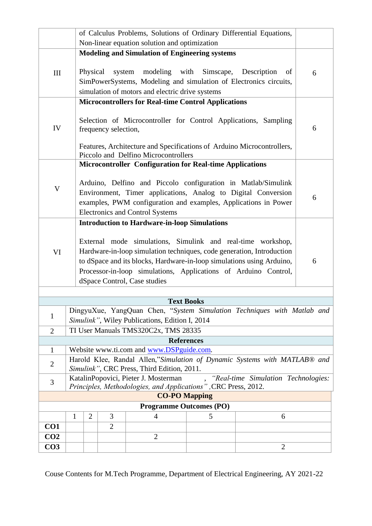|                                                                                                                                                    | of Calculus Problems, Solutions of Ordinary Differential Equations,       |                                                                                                                                                                                                                                                                                                                  |                |                                                                 |   |                |   |  |
|----------------------------------------------------------------------------------------------------------------------------------------------------|---------------------------------------------------------------------------|------------------------------------------------------------------------------------------------------------------------------------------------------------------------------------------------------------------------------------------------------------------------------------------------------------------|----------------|-----------------------------------------------------------------|---|----------------|---|--|
|                                                                                                                                                    | Non-linear equation solution and optimization                             |                                                                                                                                                                                                                                                                                                                  |                |                                                                 |   |                |   |  |
|                                                                                                                                                    | <b>Modeling and Simulation of Engineering systems</b>                     |                                                                                                                                                                                                                                                                                                                  |                |                                                                 |   |                |   |  |
| III                                                                                                                                                |                                                                           | Physical<br>modeling with<br>Simscape,<br>system<br>Description<br>of<br>SimPowerSystems, Modeling and simulation of Electronics circuits,<br>simulation of motors and electric drive systems                                                                                                                    |                |                                                                 |   |                | 6 |  |
|                                                                                                                                                    | <b>Microcontrollers for Real-time Control Applications</b>                |                                                                                                                                                                                                                                                                                                                  |                |                                                                 |   |                |   |  |
| IV                                                                                                                                                 |                                                                           | Selection of Microcontroller for Control Applications, Sampling<br>frequency selection,                                                                                                                                                                                                                          |                |                                                                 |   |                |   |  |
|                                                                                                                                                    |                                                                           | Features, Architecture and Specifications of Arduino Microcontrollers,<br>Piccolo and Delfino Microcontrollers                                                                                                                                                                                                   |                |                                                                 |   |                |   |  |
|                                                                                                                                                    |                                                                           |                                                                                                                                                                                                                                                                                                                  |                | <b>Microcontroller Configuration for Real-time Applications</b> |   |                |   |  |
|                                                                                                                                                    |                                                                           |                                                                                                                                                                                                                                                                                                                  |                |                                                                 |   |                |   |  |
|                                                                                                                                                    | Arduino, Delfino and Piccolo configuration in Matlab/Simulink             |                                                                                                                                                                                                                                                                                                                  |                |                                                                 |   |                |   |  |
| $\mathbf V$                                                                                                                                        | Environment, Timer applications, Analog to Digital Conversion             |                                                                                                                                                                                                                                                                                                                  |                |                                                                 |   | 6              |   |  |
|                                                                                                                                                    |                                                                           | examples, PWM configuration and examples, Applications in Power                                                                                                                                                                                                                                                  |                |                                                                 |   |                |   |  |
|                                                                                                                                                    |                                                                           |                                                                                                                                                                                                                                                                                                                  |                | <b>Electronics and Control Systems</b>                          |   |                |   |  |
|                                                                                                                                                    |                                                                           |                                                                                                                                                                                                                                                                                                                  |                | <b>Introduction to Hardware-in-loop Simulations</b>             |   |                |   |  |
| VI                                                                                                                                                 |                                                                           | External mode simulations, Simulink and real-time workshop,<br>Hardware-in-loop simulation techniques, code generation, Introduction<br>to dSpace and its blocks, Hardware-in-loop simulations using Arduino,<br>Processor-in-loop simulations, Applications of Arduino Control,<br>dSpace Control, Case studies |                |                                                                 |   |                |   |  |
|                                                                                                                                                    |                                                                           |                                                                                                                                                                                                                                                                                                                  |                |                                                                 |   |                |   |  |
| <b>Text Books</b>                                                                                                                                  |                                                                           |                                                                                                                                                                                                                                                                                                                  |                |                                                                 |   |                |   |  |
| DingyuXue, YangQuan Chen, "System Simulation Techniques with Matlab and<br>$\mathbf{1}$                                                            |                                                                           |                                                                                                                                                                                                                                                                                                                  |                |                                                                 |   |                |   |  |
| Simulink", Wiley Publications, Edition I, 2014                                                                                                     |                                                                           |                                                                                                                                                                                                                                                                                                                  |                |                                                                 |   |                |   |  |
| TI User Manuals TMS320C2x, TMS 28335<br>$\overline{2}$<br><b>References</b>                                                                        |                                                                           |                                                                                                                                                                                                                                                                                                                  |                |                                                                 |   |                |   |  |
| Website www.ti.com and www.DSPguide.com.<br>$\mathbf{1}$                                                                                           |                                                                           |                                                                                                                                                                                                                                                                                                                  |                |                                                                 |   |                |   |  |
|                                                                                                                                                    | Harold Klee, Randal Allen,"Simulation of Dynamic Systems with MATLAB® and |                                                                                                                                                                                                                                                                                                                  |                |                                                                 |   |                |   |  |
|                                                                                                                                                    | $\mathbf{2}$<br>Simulink", CRC Press, Third Edition, 2011.                |                                                                                                                                                                                                                                                                                                                  |                |                                                                 |   |                |   |  |
| KatalinPopovici, Pieter J. Mosterman<br>"Real-time Simulation Technologies:<br>3<br>Principles, Methodologies, and Applications", CRC Press, 2012. |                                                                           |                                                                                                                                                                                                                                                                                                                  |                |                                                                 |   |                |   |  |
| <b>CO-PO Mapping</b>                                                                                                                               |                                                                           |                                                                                                                                                                                                                                                                                                                  |                |                                                                 |   |                |   |  |
| <b>Programme Outcomes (PO)</b>                                                                                                                     |                                                                           |                                                                                                                                                                                                                                                                                                                  |                |                                                                 |   |                |   |  |
|                                                                                                                                                    | $\mathbf{1}$                                                              | $\overline{2}$                                                                                                                                                                                                                                                                                                   | 3              | 4                                                               | 5 | 6              |   |  |
| CO1                                                                                                                                                |                                                                           |                                                                                                                                                                                                                                                                                                                  | $\overline{2}$ |                                                                 |   |                |   |  |
| CO <sub>2</sub>                                                                                                                                    |                                                                           |                                                                                                                                                                                                                                                                                                                  |                | $\overline{2}$                                                  |   |                |   |  |
| CO <sub>3</sub>                                                                                                                                    |                                                                           |                                                                                                                                                                                                                                                                                                                  |                |                                                                 |   | $\overline{c}$ |   |  |